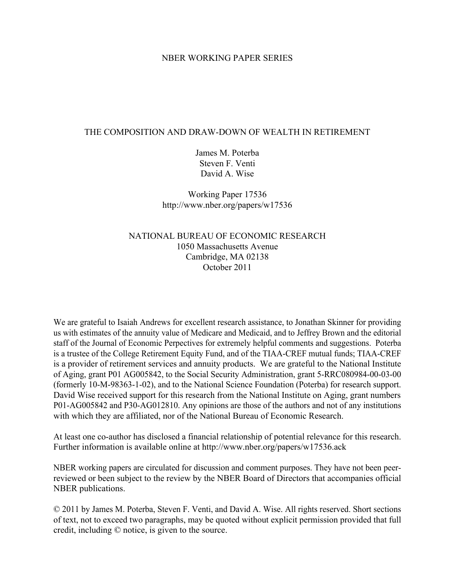## NBER WORKING PAPER SERIES

## THE COMPOSITION AND DRAW-DOWN OF WEALTH IN RETIREMENT

James M. Poterba Steven F. Venti David A. Wise

Working Paper 17536 http://www.nber.org/papers/w17536

# NATIONAL BUREAU OF ECONOMIC RESEARCH 1050 Massachusetts Avenue Cambridge, MA 02138 October 2011

We are grateful to Isaiah Andrews for excellent research assistance, to Jonathan Skinner for providing us with estimates of the annuity value of Medicare and Medicaid, and to Jeffrey Brown and the editorial staff of the Journal of Economic Perpectives for extremely helpful comments and suggestions. Poterba is a trustee of the College Retirement Equity Fund, and of the TIAA-CREF mutual funds; TIAA-CREF is a provider of retirement services and annuity products. We are grateful to the National Institute of Aging, grant P01 AG005842, to the Social Security Administration, grant 5-RRC080984-00-03-00 (formerly 10-M-98363-1-02), and to the National Science Foundation (Poterba) for research support. David Wise received support for this research from the National Institute on Aging, grant numbers P01-AG005842 and P30-AG012810. Any opinions are those of the authors and not of any institutions with which they are affiliated, nor of the National Bureau of Economic Research.

At least one co-author has disclosed a financial relationship of potential relevance for this research. Further information is available online at http://www.nber.org/papers/w17536.ack

NBER working papers are circulated for discussion and comment purposes. They have not been peerreviewed or been subject to the review by the NBER Board of Directors that accompanies official NBER publications.

© 2011 by James M. Poterba, Steven F. Venti, and David A. Wise. All rights reserved. Short sections of text, not to exceed two paragraphs, may be quoted without explicit permission provided that full credit, including © notice, is given to the source.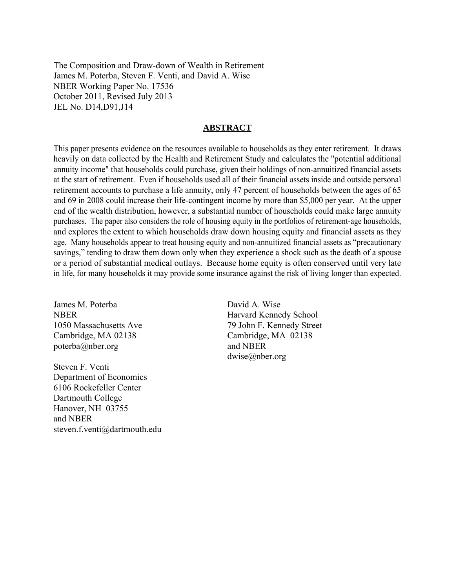The Composition and Draw-down of Wealth in Retirement James M. Poterba, Steven F. Venti, and David A. Wise NBER Working Paper No. 17536 October 2011, Revised July 2013 JEL No. D14,D91,J14

### **ABSTRACT**

This paper presents evidence on the resources available to households as they enter retirement. It draws heavily on data collected by the Health and Retirement Study and calculates the "potential additional annuity income" that households could purchase, given their holdings of non-annuitized financial assets at the start of retirement. Even if households used all of their financial assets inside and outside personal retirement accounts to purchase a life annuity, only 47 percent of households between the ages of 65 and 69 in 2008 could increase their life-contingent income by more than \$5,000 per year. At the upper end of the wealth distribution, however, a substantial number of households could make large annuity purchases. The paper also considers the role of housing equity in the portfolios of retirement-age households, and explores the extent to which households draw down housing equity and financial assets as they age. Many households appear to treat housing equity and non-annuitized financial assets as "precautionary savings," tending to draw them down only when they experience a shock such as the death of a spouse or a period of substantial medical outlays. Because home equity is often conserved until very late in life, for many households it may provide some insurance against the risk of living longer than expected.

James M. Poterba NBER 1050 Massachusetts Ave Cambridge, MA 02138 poterba@nber.org

Steven F. Venti Department of Economics 6106 Rockefeller Center Dartmouth College Hanover, NH 03755 and NBER steven.f.venti@dartmouth.edu

David A. Wise Harvard Kennedy School 79 John F. Kennedy Street Cambridge, MA 02138 and NBER dwise@nber.org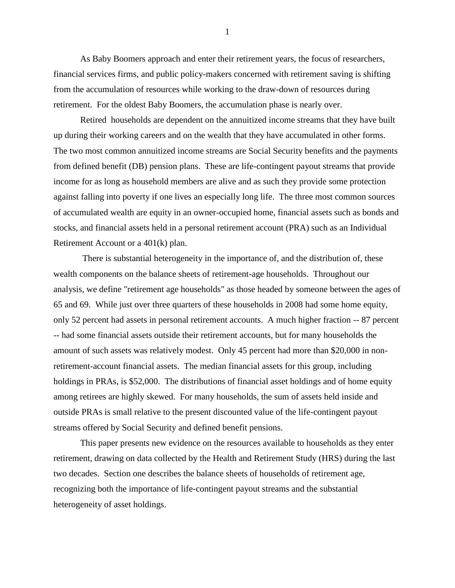As Baby Boomers approach and enter their retirement years, the focus of researchers, financial services firms, and public policy-makers concerned with retirement saving is shifting from the accumulation of resources while working to the draw-down of resources during retirement. For the oldest Baby Boomers, the accumulation phase is nearly over.

 Retired households are dependent on the annuitized income streams that they have built up during their working careers and on the wealth that they have accumulated in other forms. The two most common annuitized income streams are Social Security benefits and the payments from defined benefit (DB) pension plans. These are life-contingent payout streams that provide income for as long as household members are alive and as such they provide some protection against falling into poverty if one lives an especially long life. The three most common sources of accumulated wealth are equity in an owner-occupied home, financial assets such as bonds and stocks, and financial assets held in a personal retirement account (PRA) such as an Individual Retirement Account or a 401(k) plan.

 There is substantial heterogeneity in the importance of, and the distribution of, these wealth components on the balance sheets of retirement-age households. Throughout our analysis, we define "retirement age households" as those headed by someone between the ages of 65 and 69. While just over three quarters of these households in 2008 had some home equity, only 52 percent had assets in personal retirement accounts. A much higher fraction -- 87 percent -- had some financial assets outside their retirement accounts, but for many households the amount of such assets was relatively modest. Only 45 percent had more than \$20,000 in nonretirement-account financial assets. The median financial assets for this group, including holdings in PRAs, is \$52,000. The distributions of financial asset holdings and of home equity among retirees are highly skewed. For many households, the sum of assets held inside and outside PRAs is small relative to the present discounted value of the life-contingent payout streams offered by Social Security and defined benefit pensions.

 This paper presents new evidence on the resources available to households as they enter retirement, drawing on data collected by the Health and Retirement Study (HRS) during the last two decades. Section one describes the balance sheets of households of retirement age, recognizing both the importance of life-contingent payout streams and the substantial heterogeneity of asset holdings.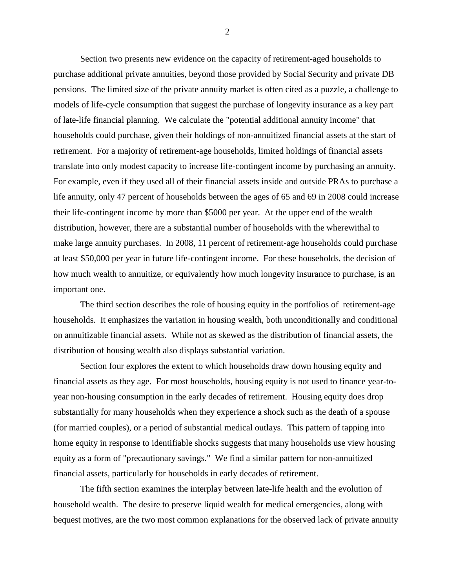Section two presents new evidence on the capacity of retirement-aged households to purchase additional private annuities, beyond those provided by Social Security and private DB pensions. The limited size of the private annuity market is often cited as a puzzle, a challenge to models of life-cycle consumption that suggest the purchase of longevity insurance as a key part of late-life financial planning. We calculate the "potential additional annuity income" that households could purchase, given their holdings of non-annuitized financial assets at the start of retirement. For a majority of retirement-age households, limited holdings of financial assets translate into only modest capacity to increase life-contingent income by purchasing an annuity. For example, even if they used all of their financial assets inside and outside PRAs to purchase a life annuity, only 47 percent of households between the ages of 65 and 69 in 2008 could increase their life-contingent income by more than \$5000 per year. At the upper end of the wealth distribution, however, there are a substantial number of households with the wherewithal to make large annuity purchases. In 2008, 11 percent of retirement-age households could purchase at least \$50,000 per year in future life-contingent income. For these households, the decision of how much wealth to annuitize, or equivalently how much longevity insurance to purchase, is an important one.

 The third section describes the role of housing equity in the portfolios of retirement-age households. It emphasizes the variation in housing wealth, both unconditionally and conditional on annuitizable financial assets. While not as skewed as the distribution of financial assets, the distribution of housing wealth also displays substantial variation.

 Section four explores the extent to which households draw down housing equity and financial assets as they age. For most households, housing equity is not used to finance year-toyear non-housing consumption in the early decades of retirement. Housing equity does drop substantially for many households when they experience a shock such as the death of a spouse (for married couples), or a period of substantial medical outlays. This pattern of tapping into home equity in response to identifiable shocks suggests that many households use view housing equity as a form of "precautionary savings." We find a similar pattern for non-annuitized financial assets, particularly for households in early decades of retirement.

 The fifth section examines the interplay between late-life health and the evolution of household wealth. The desire to preserve liquid wealth for medical emergencies, along with bequest motives, are the two most common explanations for the observed lack of private annuity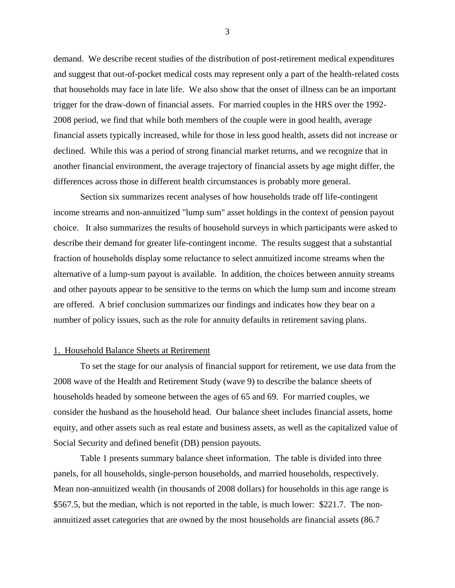demand. We describe recent studies of the distribution of post-retirement medical expenditures and suggest that out-of-pocket medical costs may represent only a part of the health-related costs that households may face in late life. We also show that the onset of illness can be an important trigger for the draw-down of financial assets. For married couples in the HRS over the 1992- 2008 period, we find that while both members of the couple were in good health, average financial assets typically increased, while for those in less good health, assets did not increase or declined. While this was a period of strong financial market returns, and we recognize that in another financial environment, the average trajectory of financial assets by age might differ, the differences across those in different health circumstances is probably more general.

 Section six summarizes recent analyses of how households trade off life-contingent income streams and non-annuitized "lump sum" asset holdings in the context of pension payout choice. It also summarizes the results of household surveys in which participants were asked to describe their demand for greater life-contingent income. The results suggest that a substantial fraction of households display some reluctance to select annuitized income streams when the alternative of a lump-sum payout is available. In addition, the choices between annuity streams and other payouts appear to be sensitive to the terms on which the lump sum and income stream are offered. A brief conclusion summarizes our findings and indicates how they bear on a number of policy issues, such as the role for annuity defaults in retirement saving plans.

#### 1. Household Balance Sheets at Retirement

 To set the stage for our analysis of financial support for retirement, we use data from the 2008 wave of the Health and Retirement Study (wave 9) to describe the balance sheets of households headed by someone between the ages of 65 and 69. For married couples, we consider the husband as the household head. Our balance sheet includes financial assets, home equity, and other assets such as real estate and business assets, as well as the capitalized value of Social Security and defined benefit (DB) pension payouts.

 Table 1 presents summary balance sheet information. The table is divided into three panels, for all households, single-person households, and married households, respectively. Mean non-annuitized wealth (in thousands of 2008 dollars) for households in this age range is \$567.5, but the median, which is not reported in the table, is much lower: \$221.7. The nonannuitized asset categories that are owned by the most households are financial assets (86.7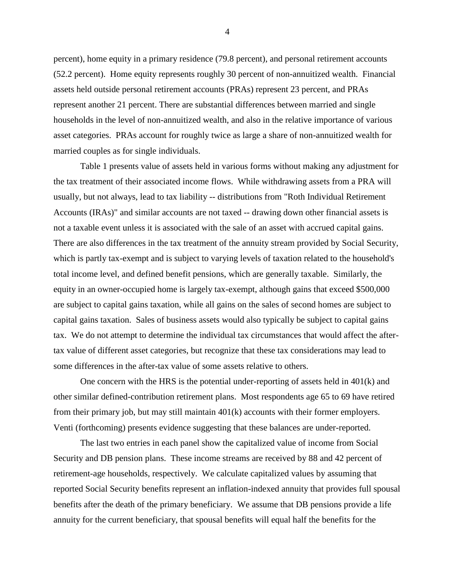percent), home equity in a primary residence (79.8 percent), and personal retirement accounts (52.2 percent). Home equity represents roughly 30 percent of non-annuitized wealth. Financial assets held outside personal retirement accounts (PRAs) represent 23 percent, and PRAs represent another 21 percent. There are substantial differences between married and single households in the level of non-annuitized wealth, and also in the relative importance of various asset categories. PRAs account for roughly twice as large a share of non-annuitized wealth for married couples as for single individuals.

 Table 1 presents value of assets held in various forms without making any adjustment for the tax treatment of their associated income flows. While withdrawing assets from a PRA will usually, but not always, lead to tax liability -- distributions from "Roth Individual Retirement Accounts (IRAs)" and similar accounts are not taxed -- drawing down other financial assets is not a taxable event unless it is associated with the sale of an asset with accrued capital gains. There are also differences in the tax treatment of the annuity stream provided by Social Security, which is partly tax-exempt and is subject to varying levels of taxation related to the household's total income level, and defined benefit pensions, which are generally taxable. Similarly, the equity in an owner-occupied home is largely tax-exempt, although gains that exceed \$500,000 are subject to capital gains taxation, while all gains on the sales of second homes are subject to capital gains taxation. Sales of business assets would also typically be subject to capital gains tax. We do not attempt to determine the individual tax circumstances that would affect the aftertax value of different asset categories, but recognize that these tax considerations may lead to some differences in the after-tax value of some assets relative to others.

 One concern with the HRS is the potential under-reporting of assets held in 401(k) and other similar defined-contribution retirement plans. Most respondents age 65 to 69 have retired from their primary job, but may still maintain 401(k) accounts with their former employers. Venti (forthcoming) presents evidence suggesting that these balances are under-reported.

 The last two entries in each panel show the capitalized value of income from Social Security and DB pension plans. These income streams are received by 88 and 42 percent of retirement-age households, respectively. We calculate capitalized values by assuming that reported Social Security benefits represent an inflation-indexed annuity that provides full spousal benefits after the death of the primary beneficiary. We assume that DB pensions provide a life annuity for the current beneficiary, that spousal benefits will equal half the benefits for the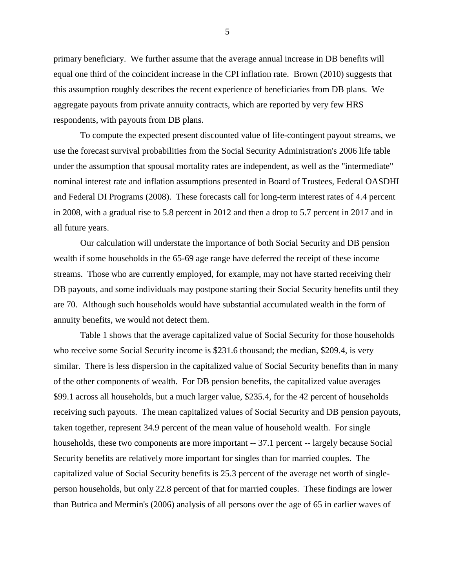primary beneficiary. We further assume that the average annual increase in DB benefits will equal one third of the coincident increase in the CPI inflation rate. Brown (2010) suggests that this assumption roughly describes the recent experience of beneficiaries from DB plans. We aggregate payouts from private annuity contracts, which are reported by very few HRS respondents, with payouts from DB plans.

 To compute the expected present discounted value of life-contingent payout streams, we use the forecast survival probabilities from the Social Security Administration's 2006 life table under the assumption that spousal mortality rates are independent, as well as the "intermediate" nominal interest rate and inflation assumptions presented in Board of Trustees, Federal OASDHI and Federal DI Programs (2008). These forecasts call for long-term interest rates of 4.4 percent in 2008, with a gradual rise to 5.8 percent in 2012 and then a drop to 5.7 percent in 2017 and in all future years.

 Our calculation will understate the importance of both Social Security and DB pension wealth if some households in the 65-69 age range have deferred the receipt of these income streams. Those who are currently employed, for example, may not have started receiving their DB payouts, and some individuals may postpone starting their Social Security benefits until they are 70. Although such households would have substantial accumulated wealth in the form of annuity benefits, we would not detect them.

 Table 1 shows that the average capitalized value of Social Security for those households who receive some Social Security income is \$231.6 thousand; the median, \$209.4, is very similar. There is less dispersion in the capitalized value of Social Security benefits than in many of the other components of wealth. For DB pension benefits, the capitalized value averages \$99.1 across all households, but a much larger value, \$235.4, for the 42 percent of households receiving such payouts. The mean capitalized values of Social Security and DB pension payouts, taken together, represent 34.9 percent of the mean value of household wealth. For single households, these two components are more important  $-37.1$  percent  $-$  largely because Social Security benefits are relatively more important for singles than for married couples. The capitalized value of Social Security benefits is 25.3 percent of the average net worth of singleperson households, but only 22.8 percent of that for married couples. These findings are lower than Butrica and Mermin's (2006) analysis of all persons over the age of 65 in earlier waves of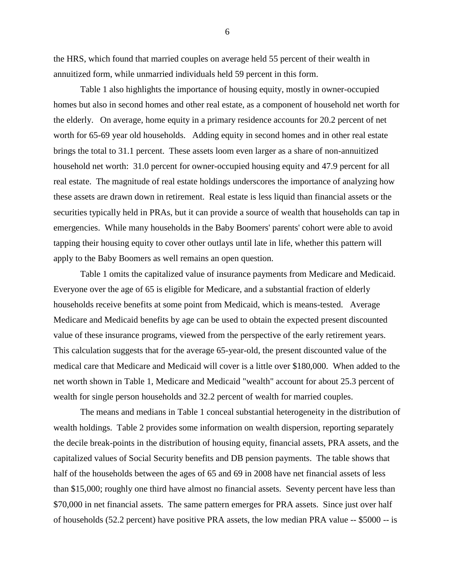the HRS, which found that married couples on average held 55 percent of their wealth in annuitized form, while unmarried individuals held 59 percent in this form.

 Table 1 also highlights the importance of housing equity, mostly in owner-occupied homes but also in second homes and other real estate, as a component of household net worth for the elderly. On average, home equity in a primary residence accounts for 20.2 percent of net worth for 65-69 year old households. Adding equity in second homes and in other real estate brings the total to 31.1 percent. These assets loom even larger as a share of non-annuitized household net worth: 31.0 percent for owner-occupied housing equity and 47.9 percent for all real estate. The magnitude of real estate holdings underscores the importance of analyzing how these assets are drawn down in retirement. Real estate is less liquid than financial assets or the securities typically held in PRAs, but it can provide a source of wealth that households can tap in emergencies. While many households in the Baby Boomers' parents' cohort were able to avoid tapping their housing equity to cover other outlays until late in life, whether this pattern will apply to the Baby Boomers as well remains an open question.

 Table 1 omits the capitalized value of insurance payments from Medicare and Medicaid. Everyone over the age of 65 is eligible for Medicare, and a substantial fraction of elderly households receive benefits at some point from Medicaid, which is means-tested. Average Medicare and Medicaid benefits by age can be used to obtain the expected present discounted value of these insurance programs, viewed from the perspective of the early retirement years. This calculation suggests that for the average 65-year-old, the present discounted value of the medical care that Medicare and Medicaid will cover is a little over \$180,000. When added to the net worth shown in Table 1, Medicare and Medicaid "wealth" account for about 25.3 percent of wealth for single person households and 32.2 percent of wealth for married couples.

 The means and medians in Table 1 conceal substantial heterogeneity in the distribution of wealth holdings. Table 2 provides some information on wealth dispersion, reporting separately the decile break-points in the distribution of housing equity, financial assets, PRA assets, and the capitalized values of Social Security benefits and DB pension payments. The table shows that half of the households between the ages of 65 and 69 in 2008 have net financial assets of less than \$15,000; roughly one third have almost no financial assets. Seventy percent have less than \$70,000 in net financial assets. The same pattern emerges for PRA assets. Since just over half of households (52.2 percent) have positive PRA assets, the low median PRA value -- \$5000 -- is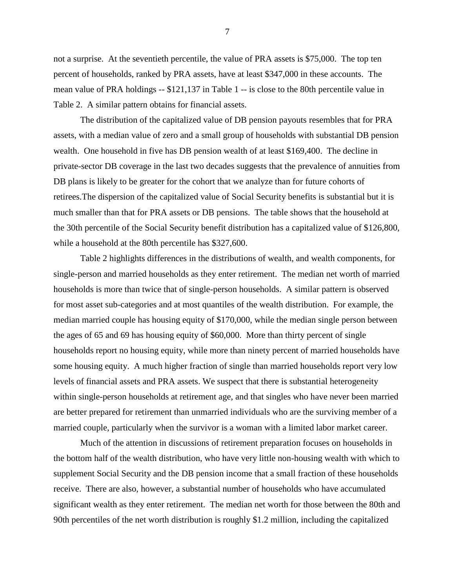not a surprise. At the seventieth percentile, the value of PRA assets is \$75,000. The top ten percent of households, ranked by PRA assets, have at least \$347,000 in these accounts. The mean value of PRA holdings -- \$121,137 in Table 1 -- is close to the 80th percentile value in Table 2. A similar pattern obtains for financial assets.

 The distribution of the capitalized value of DB pension payouts resembles that for PRA assets, with a median value of zero and a small group of households with substantial DB pension wealth. One household in five has DB pension wealth of at least \$169,400. The decline in private-sector DB coverage in the last two decades suggests that the prevalence of annuities from DB plans is likely to be greater for the cohort that we analyze than for future cohorts of retirees.The dispersion of the capitalized value of Social Security benefits is substantial but it is much smaller than that for PRA assets or DB pensions. The table shows that the household at the 30th percentile of the Social Security benefit distribution has a capitalized value of \$126,800, while a household at the 80th percentile has \$327,600.

 Table 2 highlights differences in the distributions of wealth, and wealth components, for single-person and married households as they enter retirement. The median net worth of married households is more than twice that of single-person households. A similar pattern is observed for most asset sub-categories and at most quantiles of the wealth distribution. For example, the median married couple has housing equity of \$170,000, while the median single person between the ages of 65 and 69 has housing equity of \$60,000. More than thirty percent of single households report no housing equity, while more than ninety percent of married households have some housing equity. A much higher fraction of single than married households report very low levels of financial assets and PRA assets. We suspect that there is substantial heterogeneity within single-person households at retirement age, and that singles who have never been married are better prepared for retirement than unmarried individuals who are the surviving member of a married couple, particularly when the survivor is a woman with a limited labor market career.

 Much of the attention in discussions of retirement preparation focuses on households in the bottom half of the wealth distribution, who have very little non-housing wealth with which to supplement Social Security and the DB pension income that a small fraction of these households receive. There are also, however, a substantial number of households who have accumulated significant wealth as they enter retirement. The median net worth for those between the 80th and 90th percentiles of the net worth distribution is roughly \$1.2 million, including the capitalized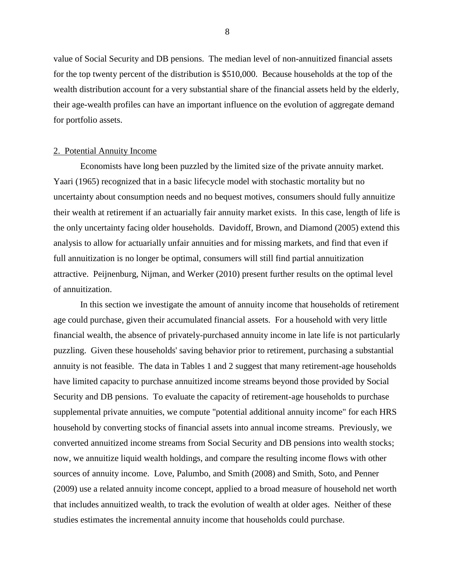value of Social Security and DB pensions. The median level of non-annuitized financial assets for the top twenty percent of the distribution is \$510,000. Because households at the top of the wealth distribution account for a very substantial share of the financial assets held by the elderly, their age-wealth profiles can have an important influence on the evolution of aggregate demand for portfolio assets.

#### 2. Potential Annuity Income

 Economists have long been puzzled by the limited size of the private annuity market. Yaari (1965) recognized that in a basic lifecycle model with stochastic mortality but no uncertainty about consumption needs and no bequest motives, consumers should fully annuitize their wealth at retirement if an actuarially fair annuity market exists. In this case, length of life is the only uncertainty facing older households. Davidoff, Brown, and Diamond (2005) extend this analysis to allow for actuarially unfair annuities and for missing markets, and find that even if full annuitization is no longer be optimal, consumers will still find partial annuitization attractive. Peijnenburg, Nijman, and Werker (2010) present further results on the optimal level of annuitization.

 In this section we investigate the amount of annuity income that households of retirement age could purchase, given their accumulated financial assets. For a household with very little financial wealth, the absence of privately-purchased annuity income in late life is not particularly puzzling. Given these households' saving behavior prior to retirement, purchasing a substantial annuity is not feasible. The data in Tables 1 and 2 suggest that many retirement-age households have limited capacity to purchase annuitized income streams beyond those provided by Social Security and DB pensions. To evaluate the capacity of retirement-age households to purchase supplemental private annuities, we compute "potential additional annuity income" for each HRS household by converting stocks of financial assets into annual income streams. Previously, we converted annuitized income streams from Social Security and DB pensions into wealth stocks; now, we annuitize liquid wealth holdings, and compare the resulting income flows with other sources of annuity income. Love, Palumbo, and Smith (2008) and Smith, Soto, and Penner (2009) use a related annuity income concept, applied to a broad measure of household net worth that includes annuitized wealth, to track the evolution of wealth at older ages. Neither of these studies estimates the incremental annuity income that households could purchase.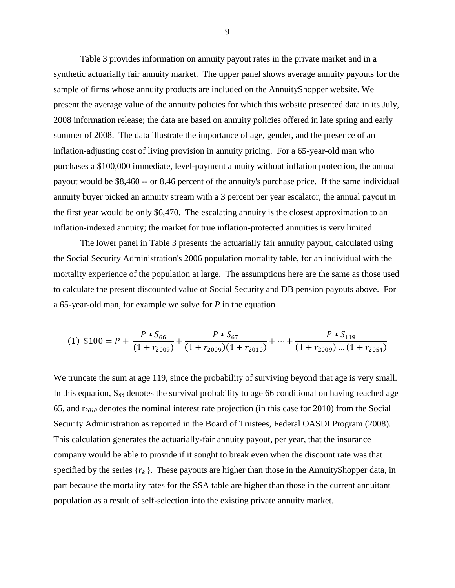Table 3 provides information on annuity payout rates in the private market and in a synthetic actuarially fair annuity market. The upper panel shows average annuity payouts for the sample of firms whose annuity products are included on the AnnuityShopper website. We present the average value of the annuity policies for which this website presented data in its July, 2008 information release; the data are based on annuity policies offered in late spring and early summer of 2008. The data illustrate the importance of age, gender, and the presence of an inflation-adjusting cost of living provision in annuity pricing. For a 65-year-old man who purchases a \$100,000 immediate, level-payment annuity without inflation protection, the annual payout would be \$8,460 -- or 8.46 percent of the annuity's purchase price. If the same individual annuity buyer picked an annuity stream with a 3 percent per year escalator, the annual payout in the first year would be only \$6,470. The escalating annuity is the closest approximation to an inflation-indexed annuity; the market for true inflation-protected annuities is very limited.

 The lower panel in Table 3 presents the actuarially fair annuity payout, calculated using the Social Security Administration's 2006 population mortality table, for an individual with the mortality experience of the population at large. The assumptions here are the same as those used to calculate the present discounted value of Social Security and DB pension payouts above. For a 65-year-old man, for example we solve for *P* in the equation

$$
(1) \ \$100 = P + \frac{P * S_{66}}{(1 + r_{2009})} + \frac{P * S_{67}}{(1 + r_{2009})(1 + r_{2010})} + \dots + \frac{P * S_{119}}{(1 + r_{2009}) \dots (1 + r_{2054})}
$$

We truncate the sum at age 119, since the probability of surviving beyond that age is very small. In this equation, S*<sup>66</sup>* denotes the survival probability to age 66 conditional on having reached age 65, and r*<sup>2010</sup>* denotes the nominal interest rate projection (in this case for 2010) from the Social Security Administration as reported in the Board of Trustees, Federal OASDI Program (2008). This calculation generates the actuarially-fair annuity payout, per year, that the insurance company would be able to provide if it sought to break even when the discount rate was that specified by the series  $\{r_k\}$ . These payouts are higher than those in the AnnuityShopper data, in part because the mortality rates for the SSA table are higher than those in the current annuitant population as a result of self-selection into the existing private annuity market.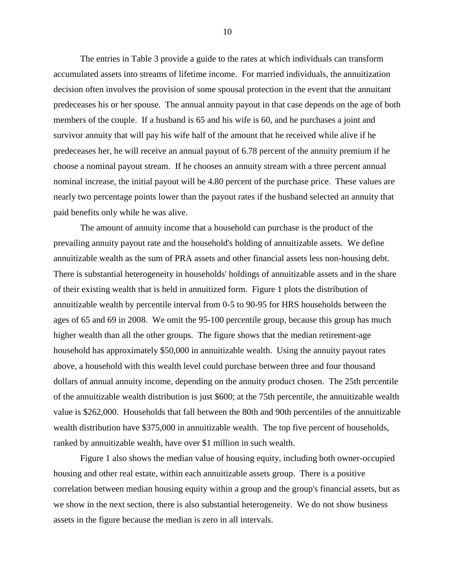The entries in Table 3 provide a guide to the rates at which individuals can transform accumulated assets into streams of lifetime income. For married individuals, the annuitization decision often involves the provision of some spousal protection in the event that the annuitant predeceases his or her spouse. The annual annuity payout in that case depends on the age of both members of the couple. If a husband is 65 and his wife is 60, and he purchases a joint and survivor annuity that will pay his wife half of the amount that he received while alive if he predeceases her, he will receive an annual payout of 6.78 percent of the annuity premium if he choose a nominal payout stream. If he chooses an annuity stream with a three percent annual nominal increase, the initial payout will be 4.80 percent of the purchase price. These values are nearly two percentage points lower than the payout rates if the husband selected an annuity that paid benefits only while he was alive.

 The amount of annuity income that a household can purchase is the product of the prevailing annuity payout rate and the household's holding of annuitizable assets. We define annuitizable wealth as the sum of PRA assets and other financial assets less non-housing debt. There is substantial heterogeneity in households' holdings of annuitizable assets and in the share of their existing wealth that is held in annuitized form. Figure 1 plots the distribution of annuitizable wealth by percentile interval from 0-5 to 90-95 for HRS households between the ages of 65 and 69 in 2008. We omit the 95-100 percentile group, because this group has much higher wealth than all the other groups. The figure shows that the median retirement-age household has approximately \$50,000 in annuitizable wealth. Using the annuity payout rates above, a household with this wealth level could purchase between three and four thousand dollars of annual annuity income, depending on the annuity product chosen. The 25th percentile of the annuitizable wealth distribution is just \$600; at the 75th percentile, the annuitizable wealth value is \$262,000. Households that fall between the 80th and 90th percentiles of the annuitizable wealth distribution have \$375,000 in annuitizable wealth. The top five percent of households, ranked by annuitizable wealth, have over \$1 million in such wealth.

 Figure 1 also shows the median value of housing equity, including both owner-occupied housing and other real estate, within each annuitizable assets group. There is a positive correlation between median housing equity within a group and the group's financial assets, but as we show in the next section, there is also substantial heterogeneity. We do not show business assets in the figure because the median is zero in all intervals.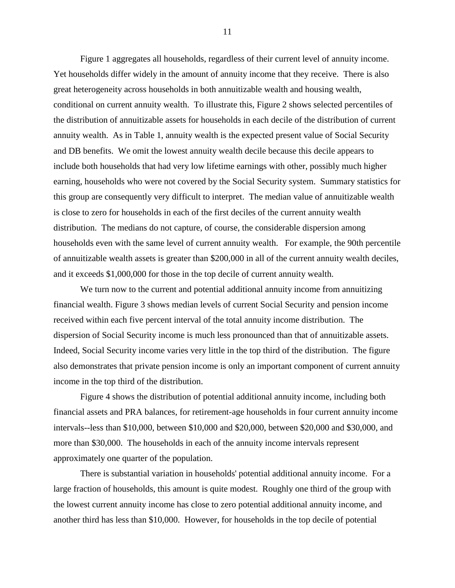Figure 1 aggregates all households, regardless of their current level of annuity income. Yet households differ widely in the amount of annuity income that they receive. There is also great heterogeneity across households in both annuitizable wealth and housing wealth, conditional on current annuity wealth. To illustrate this, Figure 2 shows selected percentiles of the distribution of annuitizable assets for households in each decile of the distribution of current annuity wealth. As in Table 1, annuity wealth is the expected present value of Social Security and DB benefits. We omit the lowest annuity wealth decile because this decile appears to include both households that had very low lifetime earnings with other, possibly much higher earning, households who were not covered by the Social Security system. Summary statistics for this group are consequently very difficult to interpret. The median value of annuitizable wealth is close to zero for households in each of the first deciles of the current annuity wealth distribution. The medians do not capture, of course, the considerable dispersion among households even with the same level of current annuity wealth. For example, the 90th percentile of annuitizable wealth assets is greater than \$200,000 in all of the current annuity wealth deciles, and it exceeds \$1,000,000 for those in the top decile of current annuity wealth.

We turn now to the current and potential additional annuity income from annuitizing financial wealth. Figure 3 shows median levels of current Social Security and pension income received within each five percent interval of the total annuity income distribution. The dispersion of Social Security income is much less pronounced than that of annuitizable assets. Indeed, Social Security income varies very little in the top third of the distribution. The figure also demonstrates that private pension income is only an important component of current annuity income in the top third of the distribution.

 Figure 4 shows the distribution of potential additional annuity income, including both financial assets and PRA balances, for retirement-age households in four current annuity income intervals--less than \$10,000, between \$10,000 and \$20,000, between \$20,000 and \$30,000, and more than \$30,000. The households in each of the annuity income intervals represent approximately one quarter of the population.

 There is substantial variation in households' potential additional annuity income. For a large fraction of households, this amount is quite modest. Roughly one third of the group with the lowest current annuity income has close to zero potential additional annuity income, and another third has less than \$10,000. However, for households in the top decile of potential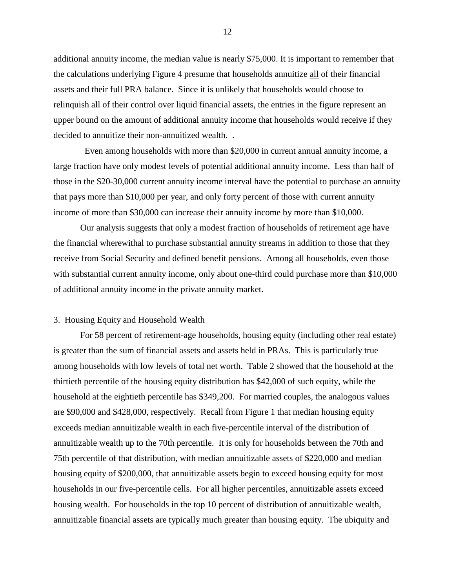additional annuity income, the median value is nearly \$75,000. It is important to remember that the calculations underlying Figure 4 presume that households annuitize all of their financial assets and their full PRA balance. Since it is unlikely that households would choose to relinquish all of their control over liquid financial assets, the entries in the figure represent an upper bound on the amount of additional annuity income that households would receive if they decided to annuitize their non-annuitized wealth. .

 Even among households with more than \$20,000 in current annual annuity income, a large fraction have only modest levels of potential additional annuity income. Less than half of those in the \$20-30,000 current annuity income interval have the potential to purchase an annuity that pays more than \$10,000 per year, and only forty percent of those with current annuity income of more than \$30,000 can increase their annuity income by more than \$10,000.

 Our analysis suggests that only a modest fraction of households of retirement age have the financial wherewithal to purchase substantial annuity streams in addition to those that they receive from Social Security and defined benefit pensions. Among all households, even those with substantial current annuity income, only about one-third could purchase more than \$10,000 of additional annuity income in the private annuity market.

#### 3. Housing Equity and Household Wealth

 For 58 percent of retirement-age households, housing equity (including other real estate) is greater than the sum of financial assets and assets held in PRAs. This is particularly true among households with low levels of total net worth. Table 2 showed that the household at the thirtieth percentile of the housing equity distribution has \$42,000 of such equity, while the household at the eightieth percentile has \$349,200. For married couples, the analogous values are \$90,000 and \$428,000, respectively. Recall from Figure 1 that median housing equity exceeds median annuitizable wealth in each five-percentile interval of the distribution of annuitizable wealth up to the 70th percentile. It is only for households between the 70th and 75th percentile of that distribution, with median annuitizable assets of \$220,000 and median housing equity of \$200,000, that annuitizable assets begin to exceed housing equity for most households in our five-percentile cells. For all higher percentiles, annuitizable assets exceed housing wealth. For households in the top 10 percent of distribution of annuitizable wealth, annuitizable financial assets are typically much greater than housing equity. The ubiquity and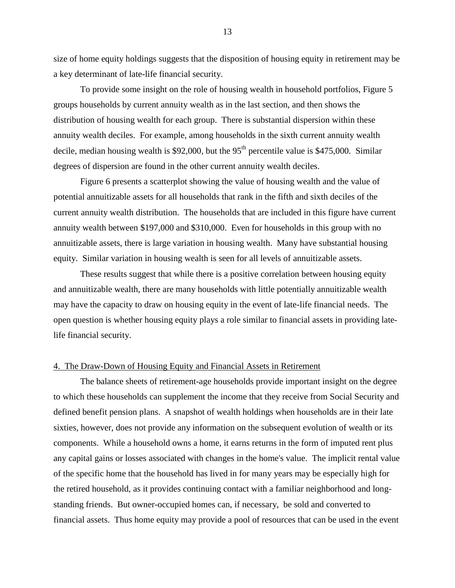size of home equity holdings suggests that the disposition of housing equity in retirement may be a key determinant of late-life financial security.

 To provide some insight on the role of housing wealth in household portfolios, Figure 5 groups households by current annuity wealth as in the last section, and then shows the distribution of housing wealth for each group. There is substantial dispersion within these annuity wealth deciles. For example, among households in the sixth current annuity wealth decile, median housing wealth is \$92,000, but the  $95<sup>th</sup>$  percentile value is \$475,000. Similar degrees of dispersion are found in the other current annuity wealth deciles.

 Figure 6 presents a scatterplot showing the value of housing wealth and the value of potential annuitizable assets for all households that rank in the fifth and sixth deciles of the current annuity wealth distribution. The households that are included in this figure have current annuity wealth between \$197,000 and \$310,000. Even for households in this group with no annuitizable assets, there is large variation in housing wealth. Many have substantial housing equity. Similar variation in housing wealth is seen for all levels of annuitizable assets.

 These results suggest that while there is a positive correlation between housing equity and annuitizable wealth, there are many households with little potentially annuitizable wealth may have the capacity to draw on housing equity in the event of late-life financial needs. The open question is whether housing equity plays a role similar to financial assets in providing latelife financial security.

#### 4. The Draw-Down of Housing Equity and Financial Assets in Retirement

 The balance sheets of retirement-age households provide important insight on the degree to which these households can supplement the income that they receive from Social Security and defined benefit pension plans. A snapshot of wealth holdings when households are in their late sixties, however, does not provide any information on the subsequent evolution of wealth or its components. While a household owns a home, it earns returns in the form of imputed rent plus any capital gains or losses associated with changes in the home's value. The implicit rental value of the specific home that the household has lived in for many years may be especially high for the retired household, as it provides continuing contact with a familiar neighborhood and longstanding friends. But owner-occupied homes can, if necessary, be sold and converted to financial assets. Thus home equity may provide a pool of resources that can be used in the event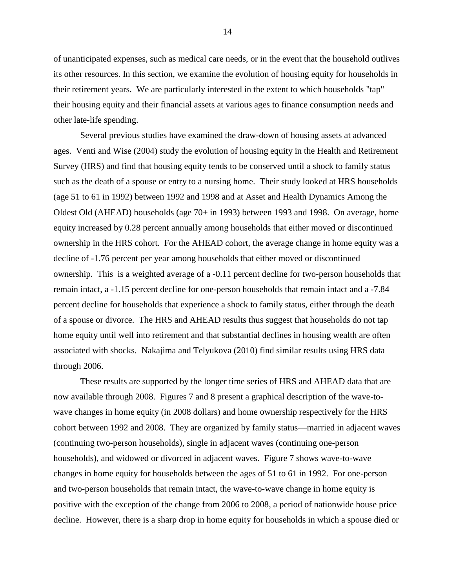of unanticipated expenses, such as medical care needs, or in the event that the household outlives its other resources. In this section, we examine the evolution of housing equity for households in their retirement years. We are particularly interested in the extent to which households "tap" their housing equity and their financial assets at various ages to finance consumption needs and other late-life spending.

 Several previous studies have examined the draw-down of housing assets at advanced ages. Venti and Wise (2004) study the evolution of housing equity in the Health and Retirement Survey (HRS) and find that housing equity tends to be conserved until a shock to family status such as the death of a spouse or entry to a nursing home. Their study looked at HRS households (age 51 to 61 in 1992) between 1992 and 1998 and at Asset and Health Dynamics Among the Oldest Old (AHEAD) households (age 70+ in 1993) between 1993 and 1998. On average, home equity increased by 0.28 percent annually among households that either moved or discontinued ownership in the HRS cohort. For the AHEAD cohort, the average change in home equity was a decline of -1.76 percent per year among households that either moved or discontinued ownership. This is a weighted average of a -0.11 percent decline for two-person households that remain intact, a -1.15 percent decline for one-person households that remain intact and a -7.84 percent decline for households that experience a shock to family status, either through the death of a spouse or divorce. The HRS and AHEAD results thus suggest that households do not tap home equity until well into retirement and that substantial declines in housing wealth are often associated with shocks. Nakajima and Telyukova (2010) find similar results using HRS data through 2006.

 These results are supported by the longer time series of HRS and AHEAD data that are now available through 2008. Figures 7 and 8 present a graphical description of the wave-towave changes in home equity (in 2008 dollars) and home ownership respectively for the HRS cohort between 1992 and 2008. They are organized by family status—married in adjacent waves (continuing two-person households), single in adjacent waves (continuing one-person households), and widowed or divorced in adjacent waves. Figure 7 shows wave-to-wave changes in home equity for households between the ages of 51 to 61 in 1992. For one-person and two-person households that remain intact, the wave-to-wave change in home equity is positive with the exception of the change from 2006 to 2008, a period of nationwide house price decline. However, there is a sharp drop in home equity for households in which a spouse died or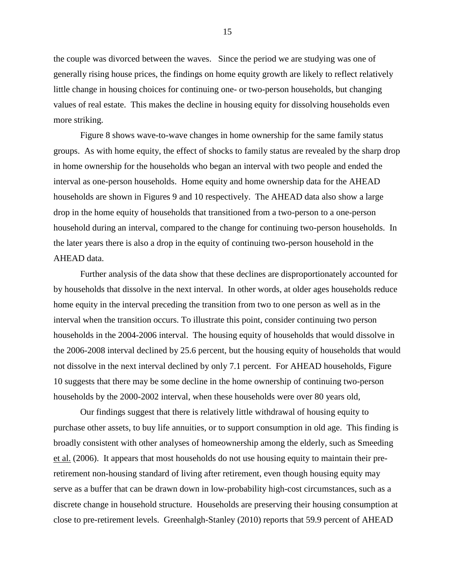the couple was divorced between the waves. Since the period we are studying was one of generally rising house prices, the findings on home equity growth are likely to reflect relatively little change in housing choices for continuing one- or two-person households, but changing values of real estate. This makes the decline in housing equity for dissolving households even more striking.

 Figure 8 shows wave-to-wave changes in home ownership for the same family status groups. As with home equity, the effect of shocks to family status are revealed by the sharp drop in home ownership for the households who began an interval with two people and ended the interval as one-person households. Home equity and home ownership data for the AHEAD households are shown in Figures 9 and 10 respectively. The AHEAD data also show a large drop in the home equity of households that transitioned from a two-person to a one-person household during an interval, compared to the change for continuing two-person households. In the later years there is also a drop in the equity of continuing two-person household in the AHEAD data.

 Further analysis of the data show that these declines are disproportionately accounted for by households that dissolve in the next interval. In other words, at older ages households reduce home equity in the interval preceding the transition from two to one person as well as in the interval when the transition occurs. To illustrate this point, consider continuing two person households in the 2004-2006 interval. The housing equity of households that would dissolve in the 2006-2008 interval declined by 25.6 percent, but the housing equity of households that would not dissolve in the next interval declined by only 7.1 percent. For AHEAD households, Figure 10 suggests that there may be some decline in the home ownership of continuing two-person households by the 2000-2002 interval, when these households were over 80 years old,

Our findings suggest that there is relatively little withdrawal of housing equity to purchase other assets, to buy life annuities, or to support consumption in old age. This finding is broadly consistent with other analyses of homeownership among the elderly, such as Smeeding et al. (2006). It appears that most households do not use housing equity to maintain their preretirement non-housing standard of living after retirement, even though housing equity may serve as a buffer that can be drawn down in low-probability high-cost circumstances, such as a discrete change in household structure. Households are preserving their housing consumption at close to pre-retirement levels. Greenhalgh-Stanley (2010) reports that 59.9 percent of AHEAD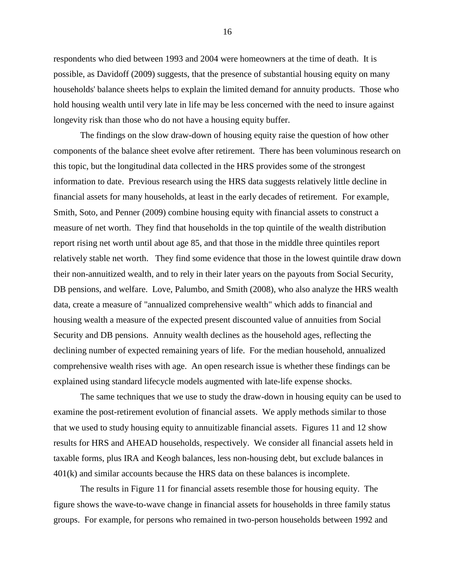respondents who died between 1993 and 2004 were homeowners at the time of death. It is possible, as Davidoff (2009) suggests, that the presence of substantial housing equity on many households' balance sheets helps to explain the limited demand for annuity products. Those who hold housing wealth until very late in life may be less concerned with the need to insure against longevity risk than those who do not have a housing equity buffer.

 The findings on the slow draw-down of housing equity raise the question of how other components of the balance sheet evolve after retirement. There has been voluminous research on this topic, but the longitudinal data collected in the HRS provides some of the strongest information to date. Previous research using the HRS data suggests relatively little decline in financial assets for many households, at least in the early decades of retirement. For example, Smith, Soto, and Penner (2009) combine housing equity with financial assets to construct a measure of net worth. They find that households in the top quintile of the wealth distribution report rising net worth until about age 85, and that those in the middle three quintiles report relatively stable net worth. They find some evidence that those in the lowest quintile draw down their non-annuitized wealth, and to rely in their later years on the payouts from Social Security, DB pensions, and welfare. Love, Palumbo, and Smith (2008), who also analyze the HRS wealth data, create a measure of "annualized comprehensive wealth" which adds to financial and housing wealth a measure of the expected present discounted value of annuities from Social Security and DB pensions. Annuity wealth declines as the household ages, reflecting the declining number of expected remaining years of life. For the median household, annualized comprehensive wealth rises with age. An open research issue is whether these findings can be explained using standard lifecycle models augmented with late-life expense shocks.

 The same techniques that we use to study the draw-down in housing equity can be used to examine the post-retirement evolution of financial assets. We apply methods similar to those that we used to study housing equity to annuitizable financial assets. Figures 11 and 12 show results for HRS and AHEAD households, respectively. We consider all financial assets held in taxable forms, plus IRA and Keogh balances, less non-housing debt, but exclude balances in 401(k) and similar accounts because the HRS data on these balances is incomplete.

 The results in Figure 11 for financial assets resemble those for housing equity. The figure shows the wave-to-wave change in financial assets for households in three family status groups. For example, for persons who remained in two-person households between 1992 and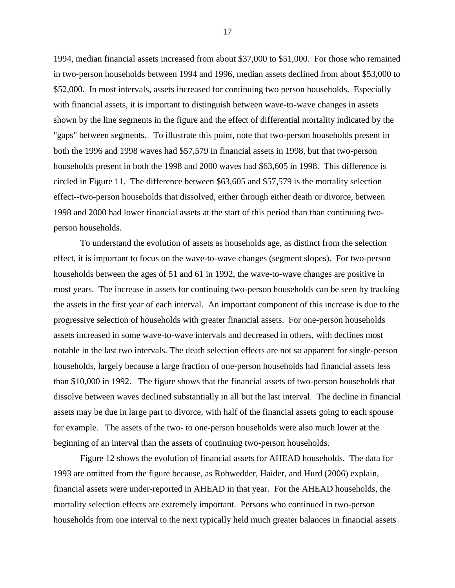1994, median financial assets increased from about \$37,000 to \$51,000. For those who remained in two-person households between 1994 and 1996, median assets declined from about \$53,000 to \$52,000. In most intervals, assets increased for continuing two person households. Especially with financial assets, it is important to distinguish between wave-to-wave changes in assets shown by the line segments in the figure and the effect of differential mortality indicated by the "gaps" between segments. To illustrate this point, note that two-person households present in both the 1996 and 1998 waves had \$57,579 in financial assets in 1998, but that two-person households present in both the 1998 and 2000 waves had \$63,605 in 1998. This difference is circled in Figure 11. The difference between \$63,605 and \$57,579 is the mortality selection effect--two-person households that dissolved, either through either death or divorce, between 1998 and 2000 had lower financial assets at the start of this period than than continuing twoperson households.

 To understand the evolution of assets as households age, as distinct from the selection effect, it is important to focus on the wave-to-wave changes (segment slopes). For two-person households between the ages of 51 and 61 in 1992, the wave-to-wave changes are positive in most years. The increase in assets for continuing two-person households can be seen by tracking the assets in the first year of each interval. An important component of this increase is due to the progressive selection of households with greater financial assets. For one-person households assets increased in some wave-to-wave intervals and decreased in others, with declines most notable in the last two intervals. The death selection effects are not so apparent for single-person households, largely because a large fraction of one-person households had financial assets less than \$10,000 in 1992. The figure shows that the financial assets of two-person households that dissolve between waves declined substantially in all but the last interval. The decline in financial assets may be due in large part to divorce, with half of the financial assets going to each spouse for example. The assets of the two- to one-person households were also much lower at the beginning of an interval than the assets of continuing two-person households.

 Figure 12 shows the evolution of financial assets for AHEAD households. The data for 1993 are omitted from the figure because, as Rohwedder, Haider, and Hurd (2006) explain, financial assets were under-reported in AHEAD in that year. For the AHEAD households, the mortality selection effects are extremely important. Persons who continued in two-person households from one interval to the next typically held much greater balances in financial assets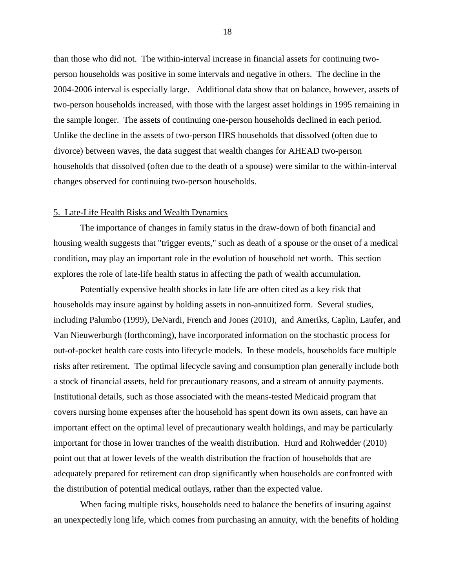than those who did not. The within-interval increase in financial assets for continuing twoperson households was positive in some intervals and negative in others. The decline in the 2004-2006 interval is especially large. Additional data show that on balance, however, assets of two-person households increased, with those with the largest asset holdings in 1995 remaining in the sample longer. The assets of continuing one-person households declined in each period. Unlike the decline in the assets of two-person HRS households that dissolved (often due to divorce) between waves, the data suggest that wealth changes for AHEAD two-person households that dissolved (often due to the death of a spouse) were similar to the within-interval changes observed for continuing two-person households.

## 5. Late-Life Health Risks and Wealth Dynamics

 The importance of changes in family status in the draw-down of both financial and housing wealth suggests that "trigger events," such as death of a spouse or the onset of a medical condition, may play an important role in the evolution of household net worth. This section explores the role of late-life health status in affecting the path of wealth accumulation.

 Potentially expensive health shocks in late life are often cited as a key risk that households may insure against by holding assets in non-annuitized form. Several studies, including Palumbo (1999), DeNardi, French and Jones (2010), and Ameriks, Caplin, Laufer, and Van Nieuwerburgh (forthcoming), have incorporated information on the stochastic process for out-of-pocket health care costs into lifecycle models. In these models, households face multiple risks after retirement. The optimal lifecycle saving and consumption plan generally include both a stock of financial assets, held for precautionary reasons, and a stream of annuity payments. Institutional details, such as those associated with the means-tested Medicaid program that covers nursing home expenses after the household has spent down its own assets, can have an important effect on the optimal level of precautionary wealth holdings, and may be particularly important for those in lower tranches of the wealth distribution. Hurd and Rohwedder (2010) point out that at lower levels of the wealth distribution the fraction of households that are adequately prepared for retirement can drop significantly when households are confronted with the distribution of potential medical outlays, rather than the expected value.

 When facing multiple risks, households need to balance the benefits of insuring against an unexpectedly long life, which comes from purchasing an annuity, with the benefits of holding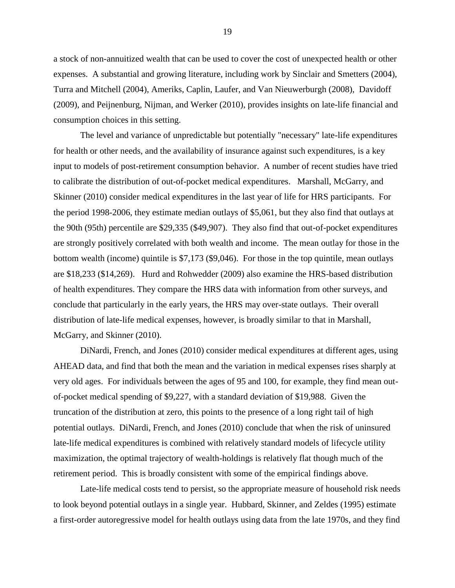a stock of non-annuitized wealth that can be used to cover the cost of unexpected health or other expenses. A substantial and growing literature, including work by Sinclair and Smetters (2004), Turra and Mitchell (2004), Ameriks, Caplin, Laufer, and Van Nieuwerburgh (2008), Davidoff (2009), and Peijnenburg, Nijman, and Werker (2010), provides insights on late-life financial and consumption choices in this setting.

 The level and variance of unpredictable but potentially "necessary" late-life expenditures for health or other needs, and the availability of insurance against such expenditures, is a key input to models of post-retirement consumption behavior. A number of recent studies have tried to calibrate the distribution of out-of-pocket medical expenditures. Marshall, McGarry, and Skinner (2010) consider medical expenditures in the last year of life for HRS participants. For the period 1998-2006, they estimate median outlays of \$5,061, but they also find that outlays at the 90th (95th) percentile are \$29,335 (\$49,907). They also find that out-of-pocket expenditures are strongly positively correlated with both wealth and income. The mean outlay for those in the bottom wealth (income) quintile is \$7,173 (\$9,046). For those in the top quintile, mean outlays are \$18,233 (\$14,269). Hurd and Rohwedder (2009) also examine the HRS-based distribution of health expenditures. They compare the HRS data with information from other surveys, and conclude that particularly in the early years, the HRS may over-state outlays. Their overall distribution of late-life medical expenses, however, is broadly similar to that in Marshall, McGarry, and Skinner (2010).

 DiNardi, French, and Jones (2010) consider medical expenditures at different ages, using AHEAD data, and find that both the mean and the variation in medical expenses rises sharply at very old ages. For individuals between the ages of 95 and 100, for example, they find mean outof-pocket medical spending of \$9,227, with a standard deviation of \$19,988. Given the truncation of the distribution at zero, this points to the presence of a long right tail of high potential outlays. DiNardi, French, and Jones (2010) conclude that when the risk of uninsured late-life medical expenditures is combined with relatively standard models of lifecycle utility maximization, the optimal trajectory of wealth-holdings is relatively flat though much of the retirement period. This is broadly consistent with some of the empirical findings above.

 Late-life medical costs tend to persist, so the appropriate measure of household risk needs to look beyond potential outlays in a single year. Hubbard, Skinner, and Zeldes (1995) estimate a first-order autoregressive model for health outlays using data from the late 1970s, and they find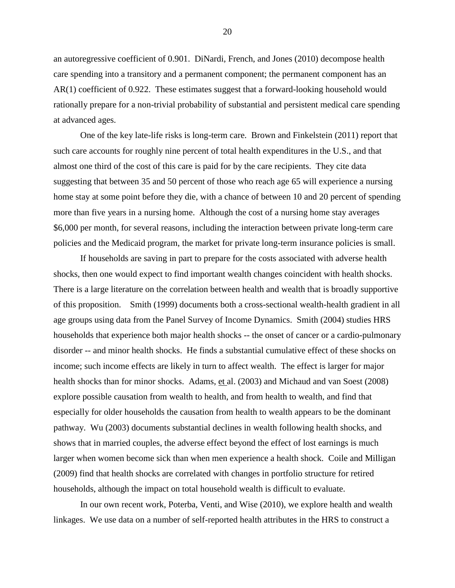an autoregressive coefficient of 0.901. DiNardi, French, and Jones (2010) decompose health care spending into a transitory and a permanent component; the permanent component has an AR(1) coefficient of 0.922. These estimates suggest that a forward-looking household would rationally prepare for a non-trivial probability of substantial and persistent medical care spending at advanced ages.

 One of the key late-life risks is long-term care. Brown and Finkelstein (2011) report that such care accounts for roughly nine percent of total health expenditures in the U.S., and that almost one third of the cost of this care is paid for by the care recipients. They cite data suggesting that between 35 and 50 percent of those who reach age 65 will experience a nursing home stay at some point before they die, with a chance of between 10 and 20 percent of spending more than five years in a nursing home. Although the cost of a nursing home stay averages \$6,000 per month, for several reasons, including the interaction between private long-term care policies and the Medicaid program, the market for private long-term insurance policies is small.

 If households are saving in part to prepare for the costs associated with adverse health shocks, then one would expect to find important wealth changes coincident with health shocks. There is a large literature on the correlation between health and wealth that is broadly supportive of this proposition. Smith (1999) documents both a cross-sectional wealth-health gradient in all age groups using data from the Panel Survey of Income Dynamics. Smith (2004) studies HRS households that experience both major health shocks -- the onset of cancer or a cardio-pulmonary disorder -- and minor health shocks. He finds a substantial cumulative effect of these shocks on income; such income effects are likely in turn to affect wealth. The effect is larger for major health shocks than for minor shocks. Adams, et al. (2003) and Michaud and van Soest (2008) explore possible causation from wealth to health, and from health to wealth, and find that especially for older households the causation from health to wealth appears to be the dominant pathway. Wu (2003) documents substantial declines in wealth following health shocks, and shows that in married couples, the adverse effect beyond the effect of lost earnings is much larger when women become sick than when men experience a health shock. Coile and Milligan (2009) find that health shocks are correlated with changes in portfolio structure for retired households, although the impact on total household wealth is difficult to evaluate.

 In our own recent work, Poterba, Venti, and Wise (2010), we explore health and wealth linkages. We use data on a number of self-reported health attributes in the HRS to construct a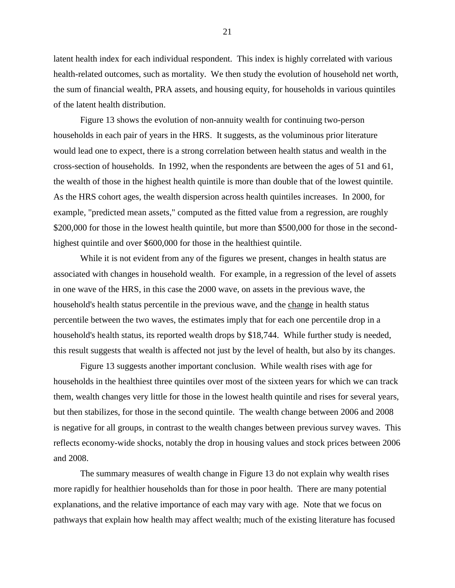latent health index for each individual respondent. This index is highly correlated with various health-related outcomes, such as mortality. We then study the evolution of household net worth, the sum of financial wealth, PRA assets, and housing equity, for households in various quintiles of the latent health distribution.

 Figure 13 shows the evolution of non-annuity wealth for continuing two-person households in each pair of years in the HRS. It suggests, as the voluminous prior literature would lead one to expect, there is a strong correlation between health status and wealth in the cross-section of households. In 1992, when the respondents are between the ages of 51 and 61, the wealth of those in the highest health quintile is more than double that of the lowest quintile. As the HRS cohort ages, the wealth dispersion across health quintiles increases. In 2000, for example, "predicted mean assets," computed as the fitted value from a regression, are roughly \$200,000 for those in the lowest health quintile, but more than \$500,000 for those in the secondhighest quintile and over \$600,000 for those in the healthiest quintile.

 While it is not evident from any of the figures we present, changes in health status are associated with changes in household wealth. For example, in a regression of the level of assets in one wave of the HRS, in this case the 2000 wave, on assets in the previous wave, the household's health status percentile in the previous wave, and the change in health status percentile between the two waves, the estimates imply that for each one percentile drop in a household's health status, its reported wealth drops by \$18,744. While further study is needed, this result suggests that wealth is affected not just by the level of health, but also by its changes.

 Figure 13 suggests another important conclusion. While wealth rises with age for households in the healthiest three quintiles over most of the sixteen years for which we can track them, wealth changes very little for those in the lowest health quintile and rises for several years, but then stabilizes, for those in the second quintile. The wealth change between 2006 and 2008 is negative for all groups, in contrast to the wealth changes between previous survey waves. This reflects economy-wide shocks, notably the drop in housing values and stock prices between 2006 and 2008.

 The summary measures of wealth change in Figure 13 do not explain why wealth rises more rapidly for healthier households than for those in poor health. There are many potential explanations, and the relative importance of each may vary with age. Note that we focus on pathways that explain how health may affect wealth; much of the existing literature has focused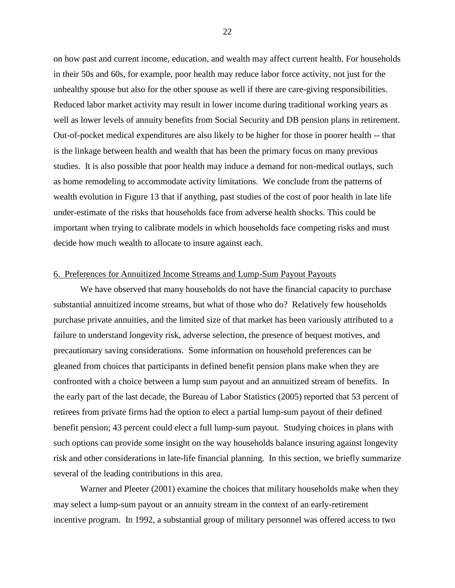on how past and current income, education, and wealth may affect current health. For households in their 50s and 60s, for example, poor health may reduce labor force activity, not just for the unhealthy spouse but also for the other spouse as well if there are care-giving responsibilities. Reduced labor market activity may result in lower income during traditional working years as well as lower levels of annuity benefits from Social Security and DB pension plans in retirement. Out-of-pocket medical expenditures are also likely to be higher for those in poorer health -- that is the linkage between health and wealth that has been the primary focus on many previous studies. It is also possible that poor health may induce a demand for non-medical outlays, such as home remodeling to accommodate activity limitations. We conclude from the patterns of wealth evolution in Figure 13 that if anything, past studies of the cost of poor health in late life under-estimate of the risks that households face from adverse health shocks. This could be important when trying to calibrate models in which households face competing risks and must decide how much wealth to allocate to insure against each.

## 6. Preferences for Annuitized Income Streams and Lump-Sum Payout Payouts

 We have observed that many households do not have the financial capacity to purchase substantial annuitized income streams, but what of those who do? Relatively few households purchase private annuities, and the limited size of that market has been variously attributed to a failure to understand longevity risk, adverse selection, the presence of bequest motives, and precautionary saving considerations. Some information on household preferences can be gleaned from choices that participants in defined benefit pension plans make when they are confronted with a choice between a lump sum payout and an annuitized stream of benefits. In the early part of the last decade, the Bureau of Labor Statistics (2005) reported that 53 percent of retirees from private firms had the option to elect a partial lump-sum payout of their defined benefit pension; 43 percent could elect a full lump-sum payout. Studying choices in plans with such options can provide some insight on the way households balance insuring against longevity risk and other considerations in late-life financial planning. In this section, we briefly summarize several of the leading contributions in this area.

 Warner and Pleeter (2001) examine the choices that military households make when they may select a lump-sum payout or an annuity stream in the context of an early-retirement incentive program. In 1992, a substantial group of military personnel was offered access to two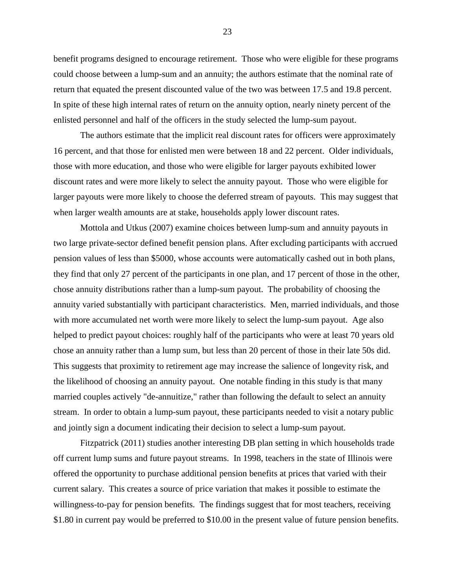benefit programs designed to encourage retirement. Those who were eligible for these programs could choose between a lump-sum and an annuity; the authors estimate that the nominal rate of return that equated the present discounted value of the two was between 17.5 and 19.8 percent. In spite of these high internal rates of return on the annuity option, nearly ninety percent of the enlisted personnel and half of the officers in the study selected the lump-sum payout.

 The authors estimate that the implicit real discount rates for officers were approximately 16 percent, and that those for enlisted men were between 18 and 22 percent. Older individuals, those with more education, and those who were eligible for larger payouts exhibited lower discount rates and were more likely to select the annuity payout. Those who were eligible for larger payouts were more likely to choose the deferred stream of payouts. This may suggest that when larger wealth amounts are at stake, households apply lower discount rates.

 Mottola and Utkus (2007) examine choices between lump-sum and annuity payouts in two large private-sector defined benefit pension plans. After excluding participants with accrued pension values of less than \$5000, whose accounts were automatically cashed out in both plans, they find that only 27 percent of the participants in one plan, and 17 percent of those in the other, chose annuity distributions rather than a lump-sum payout. The probability of choosing the annuity varied substantially with participant characteristics. Men, married individuals, and those with more accumulated net worth were more likely to select the lump-sum payout. Age also helped to predict payout choices: roughly half of the participants who were at least 70 years old chose an annuity rather than a lump sum, but less than 20 percent of those in their late 50s did. This suggests that proximity to retirement age may increase the salience of longevity risk, and the likelihood of choosing an annuity payout. One notable finding in this study is that many married couples actively "de-annuitize," rather than following the default to select an annuity stream. In order to obtain a lump-sum payout, these participants needed to visit a notary public and jointly sign a document indicating their decision to select a lump-sum payout.

 Fitzpatrick (2011) studies another interesting DB plan setting in which households trade off current lump sums and future payout streams. In 1998, teachers in the state of Illinois were offered the opportunity to purchase additional pension benefits at prices that varied with their current salary. This creates a source of price variation that makes it possible to estimate the willingness-to-pay for pension benefits. The findings suggest that for most teachers, receiving \$1.80 in current pay would be preferred to \$10.00 in the present value of future pension benefits.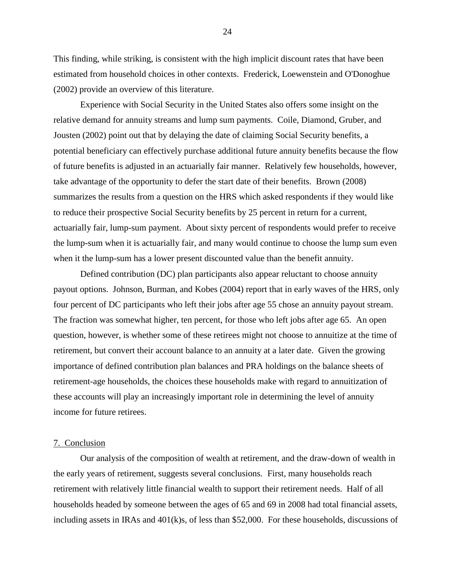This finding, while striking, is consistent with the high implicit discount rates that have been estimated from household choices in other contexts. Frederick, Loewenstein and O'Donoghue (2002) provide an overview of this literature.

 Experience with Social Security in the United States also offers some insight on the relative demand for annuity streams and lump sum payments. Coile, Diamond, Gruber, and Jousten (2002) point out that by delaying the date of claiming Social Security benefits, a potential beneficiary can effectively purchase additional future annuity benefits because the flow of future benefits is adjusted in an actuarially fair manner. Relatively few households, however, take advantage of the opportunity to defer the start date of their benefits. Brown (2008) summarizes the results from a question on the HRS which asked respondents if they would like to reduce their prospective Social Security benefits by 25 percent in return for a current, actuarially fair, lump-sum payment. About sixty percent of respondents would prefer to receive the lump-sum when it is actuarially fair, and many would continue to choose the lump sum even when it the lump-sum has a lower present discounted value than the benefit annuity.

 Defined contribution (DC) plan participants also appear reluctant to choose annuity payout options. Johnson, Burman, and Kobes (2004) report that in early waves of the HRS, only four percent of DC participants who left their jobs after age 55 chose an annuity payout stream. The fraction was somewhat higher, ten percent, for those who left jobs after age 65. An open question, however, is whether some of these retirees might not choose to annuitize at the time of retirement, but convert their account balance to an annuity at a later date. Given the growing importance of defined contribution plan balances and PRA holdings on the balance sheets of retirement-age households, the choices these households make with regard to annuitization of these accounts will play an increasingly important role in determining the level of annuity income for future retirees.

#### 7. Conclusion

 Our analysis of the composition of wealth at retirement, and the draw-down of wealth in the early years of retirement, suggests several conclusions. First, many households reach retirement with relatively little financial wealth to support their retirement needs. Half of all households headed by someone between the ages of 65 and 69 in 2008 had total financial assets, including assets in IRAs and 401(k)s, of less than \$52,000. For these households, discussions of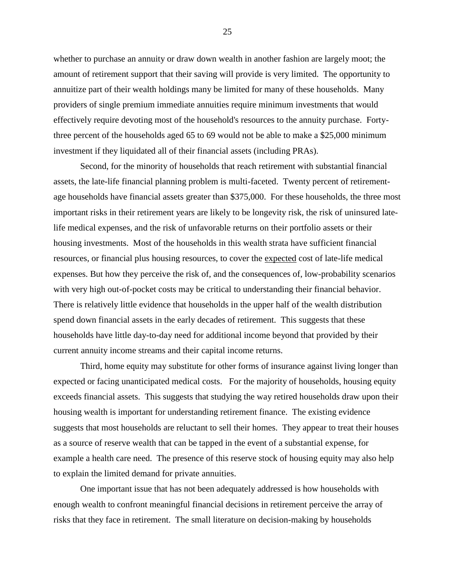whether to purchase an annuity or draw down wealth in another fashion are largely moot; the amount of retirement support that their saving will provide is very limited. The opportunity to annuitize part of their wealth holdings many be limited for many of these households. Many providers of single premium immediate annuities require minimum investments that would effectively require devoting most of the household's resources to the annuity purchase. Fortythree percent of the households aged 65 to 69 would not be able to make a \$25,000 minimum investment if they liquidated all of their financial assets (including PRAs).

 Second, for the minority of households that reach retirement with substantial financial assets, the late-life financial planning problem is multi-faceted. Twenty percent of retirementage households have financial assets greater than \$375,000. For these households, the three most important risks in their retirement years are likely to be longevity risk, the risk of uninsured latelife medical expenses, and the risk of unfavorable returns on their portfolio assets or their housing investments. Most of the households in this wealth strata have sufficient financial resources, or financial plus housing resources, to cover the expected cost of late-life medical expenses. But how they perceive the risk of, and the consequences of, low-probability scenarios with very high out-of-pocket costs may be critical to understanding their financial behavior. There is relatively little evidence that households in the upper half of the wealth distribution spend down financial assets in the early decades of retirement. This suggests that these households have little day-to-day need for additional income beyond that provided by their current annuity income streams and their capital income returns.

 Third, home equity may substitute for other forms of insurance against living longer than expected or facing unanticipated medical costs. For the majority of households, housing equity exceeds financial assets. This suggests that studying the way retired households draw upon their housing wealth is important for understanding retirement finance. The existing evidence suggests that most households are reluctant to sell their homes. They appear to treat their houses as a source of reserve wealth that can be tapped in the event of a substantial expense, for example a health care need. The presence of this reserve stock of housing equity may also help to explain the limited demand for private annuities.

 One important issue that has not been adequately addressed is how households with enough wealth to confront meaningful financial decisions in retirement perceive the array of risks that they face in retirement. The small literature on decision-making by households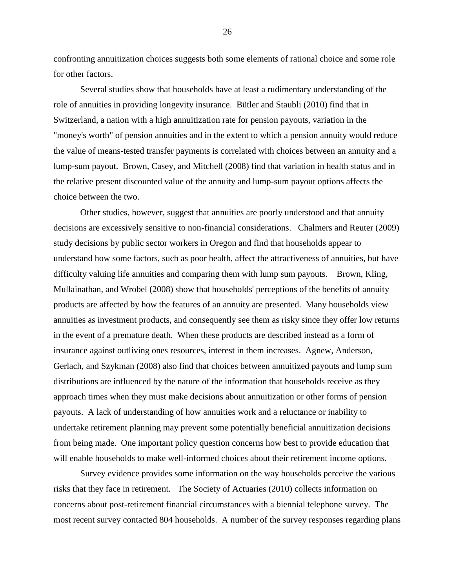confronting annuitization choices suggests both some elements of rational choice and some role for other factors.

 Several studies show that households have at least a rudimentary understanding of the role of annuities in providing longevity insurance. Bütler and Staubli (2010) find that in Switzerland, a nation with a high annuitization rate for pension payouts, variation in the "money's worth" of pension annuities and in the extent to which a pension annuity would reduce the value of means-tested transfer payments is correlated with choices between an annuity and a lump-sum payout. Brown, Casey, and Mitchell (2008) find that variation in health status and in the relative present discounted value of the annuity and lump-sum payout options affects the choice between the two.

 Other studies, however, suggest that annuities are poorly understood and that annuity decisions are excessively sensitive to non-financial considerations. Chalmers and Reuter (2009) study decisions by public sector workers in Oregon and find that households appear to understand how some factors, such as poor health, affect the attractiveness of annuities, but have difficulty valuing life annuities and comparing them with lump sum payouts. Brown, Kling, Mullainathan, and Wrobel (2008) show that households' perceptions of the benefits of annuity products are affected by how the features of an annuity are presented. Many households view annuities as investment products, and consequently see them as risky since they offer low returns in the event of a premature death. When these products are described instead as a form of insurance against outliving ones resources, interest in them increases. Agnew, Anderson, Gerlach, and Szykman (2008) also find that choices between annuitized payouts and lump sum distributions are influenced by the nature of the information that households receive as they approach times when they must make decisions about annuitization or other forms of pension payouts. A lack of understanding of how annuities work and a reluctance or inability to undertake retirement planning may prevent some potentially beneficial annuitization decisions from being made. One important policy question concerns how best to provide education that will enable households to make well-informed choices about their retirement income options.

 Survey evidence provides some information on the way households perceive the various risks that they face in retirement. The Society of Actuaries (2010) collects information on concerns about post-retirement financial circumstances with a biennial telephone survey. The most recent survey contacted 804 households. A number of the survey responses regarding plans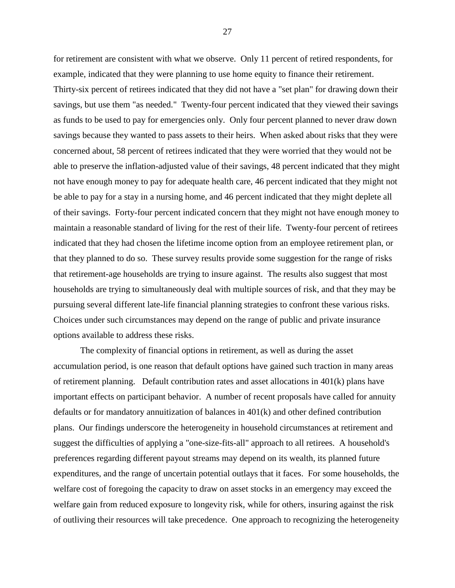for retirement are consistent with what we observe. Only 11 percent of retired respondents, for example, indicated that they were planning to use home equity to finance their retirement. Thirty-six percent of retirees indicated that they did not have a "set plan" for drawing down their savings, but use them "as needed." Twenty-four percent indicated that they viewed their savings as funds to be used to pay for emergencies only. Only four percent planned to never draw down savings because they wanted to pass assets to their heirs. When asked about risks that they were concerned about, 58 percent of retirees indicated that they were worried that they would not be able to preserve the inflation-adjusted value of their savings, 48 percent indicated that they might not have enough money to pay for adequate health care, 46 percent indicated that they might not be able to pay for a stay in a nursing home, and 46 percent indicated that they might deplete all of their savings. Forty-four percent indicated concern that they might not have enough money to maintain a reasonable standard of living for the rest of their life. Twenty-four percent of retirees indicated that they had chosen the lifetime income option from an employee retirement plan, or that they planned to do so. These survey results provide some suggestion for the range of risks that retirement-age households are trying to insure against. The results also suggest that most households are trying to simultaneously deal with multiple sources of risk, and that they may be pursuing several different late-life financial planning strategies to confront these various risks. Choices under such circumstances may depend on the range of public and private insurance options available to address these risks.

 The complexity of financial options in retirement, as well as during the asset accumulation period, is one reason that default options have gained such traction in many areas of retirement planning. Default contribution rates and asset allocations in 401(k) plans have important effects on participant behavior. A number of recent proposals have called for annuity defaults or for mandatory annuitization of balances in 401(k) and other defined contribution plans. Our findings underscore the heterogeneity in household circumstances at retirement and suggest the difficulties of applying a "one-size-fits-all" approach to all retirees. A household's preferences regarding different payout streams may depend on its wealth, its planned future expenditures, and the range of uncertain potential outlays that it faces. For some households, the welfare cost of foregoing the capacity to draw on asset stocks in an emergency may exceed the welfare gain from reduced exposure to longevity risk, while for others, insuring against the risk of outliving their resources will take precedence. One approach to recognizing the heterogeneity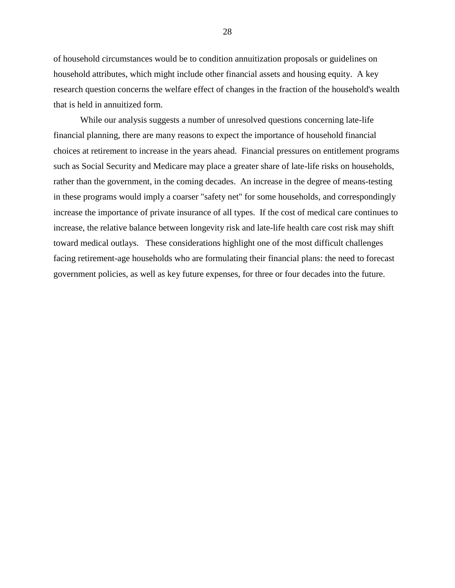of household circumstances would be to condition annuitization proposals or guidelines on household attributes, which might include other financial assets and housing equity. A key research question concerns the welfare effect of changes in the fraction of the household's wealth that is held in annuitized form.

 While our analysis suggests a number of unresolved questions concerning late-life financial planning, there are many reasons to expect the importance of household financial choices at retirement to increase in the years ahead. Financial pressures on entitlement programs such as Social Security and Medicare may place a greater share of late-life risks on households, rather than the government, in the coming decades. An increase in the degree of means-testing in these programs would imply a coarser "safety net" for some households, and correspondingly increase the importance of private insurance of all types. If the cost of medical care continues to increase, the relative balance between longevity risk and late-life health care cost risk may shift toward medical outlays. These considerations highlight one of the most difficult challenges facing retirement-age households who are formulating their financial plans: the need to forecast government policies, as well as key future expenses, for three or four decades into the future.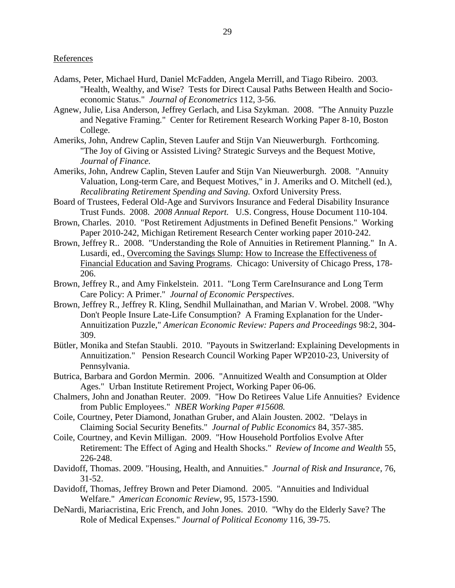- Adams, Peter, Michael Hurd, Daniel McFadden, Angela Merrill, and Tiago Ribeiro. 2003. "Health, Wealthy, and Wise? Tests for Direct Causal Paths Between Health and Socioeconomic Status." *Journal of Econometrics* 112, 3-56.
- Agnew, Julie, Lisa Anderson, Jeffrey Gerlach, and Lisa Szykman. 2008. "The Annuity Puzzle and Negative Framing." Center for Retirement Research Working Paper 8-10, Boston College.
- Ameriks, John, Andrew Caplin, Steven Laufer and Stijn Van Nieuwerburgh. Forthcoming. "The Joy of Giving or Assisted Living? Strategic Surveys and the Bequest Motive, *Journal of Finance.*
- Ameriks, John, Andrew Caplin, Steven Laufer and Stijn Van Nieuwerburgh. 2008. "Annuity Valuation, Long-term Care, and Bequest Motives," in J. Ameriks and O. Mitchell (ed.), *Recalibrating Retirement Spending and Saving.* Oxford University Press.
- Board of Trustees, Federal Old-Age and Survivors Insurance and Federal Disability Insurance Trust Funds. 2008. *2008 Annual Report.* U.S. Congress, House Document 110-104.
- Brown, Charles. 2010. "Post Retirement Adjustments in Defined Benefit Pensions." Working Paper 2010-242, Michigan Retirement Research Center working paper 2010-242.
- Brown, Jeffrey R.. 2008. "Understanding the Role of Annuities in Retirement Planning." In A. Lusardi, ed., Overcoming the Savings Slump: How to Increase the Effectiveness of Financial Education and Saving Programs. Chicago: University of Chicago Press, 178- 206.
- Brown, Jeffrey R., and Amy Finkelstein. 2011. "Long Term CareInsurance and Long Term Care Policy: A Primer." *Journal of Economic Perspectives*.
- Brown, Jeffrey R., Jeffrey R. Kling, Sendhil Mullainathan, and Marian V. Wrobel. 2008. "Why Don't People Insure Late-Life Consumption? A Framing Explanation for the Under-Annuitization Puzzle," *American Economic Review: Papers and Proceedings* 98:2, 304- 309.
- Bütler, Monika and Stefan Staubli. 2010. "Payouts in Switzerland: Explaining Developments in Annuitization." Pension Research Council Working Paper WP2010-23, University of Pennsylvania.
- Butrica, Barbara and Gordon Mermin. 2006. "Annuitized Wealth and Consumption at Older Ages." Urban Institute Retirement Project, Working Paper 06-06.
- Chalmers, John and Jonathan Reuter. 2009. "How Do Retirees Value Life Annuities? Evidence from Public Employees." *NBER Working Paper #15608.*
- Coile, Courtney, Peter Diamond, Jonathan Gruber, and Alain Jousten. 2002. "Delays in Claiming Social Security Benefits." *Journal of Public Economics* 84, 357-385.
- Coile, Courtney, and Kevin Milligan. 2009. "How Household Portfolios Evolve After Retirement: The Effect of Aging and Health Shocks." *Review of Income and Wealth* 55, 226-248.
- Davidoff, Thomas. 2009. "Housing, Health, and Annuities." *Journal of Risk and Insurance*, 76, 31-52.
- Davidoff, Thomas, Jeffrey Brown and Peter Diamond. 2005. "Annuities and Individual Welfare." *American Economic Review*, 95, 1573-1590.
- DeNardi, Mariacristina, Eric French, and John Jones. 2010. "Why do the Elderly Save? The Role of Medical Expenses." *Journal of Political Economy* 116, 39-75.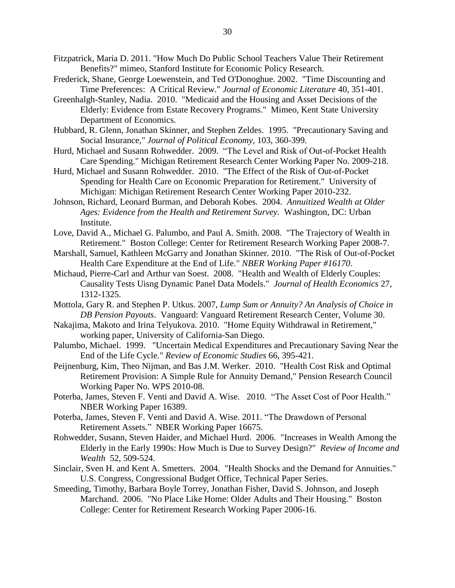- Fitzpatrick, Maria D. 2011. "How Much Do Public School Teachers Value Their Retirement Benefits?" mimeo, Stanford Institute for Economic Policy Research.
- Frederick, Shane, George Loewenstein, and Ted O'Donoghue. 2002. "Time Discounting and Time Preferences: A Critical Review." *Journal of Economic Literature* 40, 351-401.
- Greenhalgh-Stanley, Nadia. 2010. "Medicaid and the Housing and Asset Decisions of the Elderly: Evidence from Estate Recovery Programs." Mimeo, Kent State University Department of Economics.
- Hubbard, R. Glenn, Jonathan Skinner, and Stephen Zeldes. 1995. "Precautionary Saving and Social Insurance," *Journal of Political Economy*, 103, 360-399.
- Hurd, Michael and Susann Rohwedder. 2009. "The Level and Risk of Out-of-Pocket Health Care Spending." Michigan Retirement Research Center Working Paper No. 2009-218.
- Hurd, Michael and Susann Rohwedder. 2010. "The Effect of the Risk of Out-of-Pocket Spending for Health Care on Economic Preparation for Retirement." University of Michigan: Michigan Retirement Research Center Working Paper 2010-232.
- Johnson, Richard, Leonard Burman, and Deborah Kobes. 2004. *Annuitized Wealth at Older Ages: Evidence from the Health and Retirement Survey.* Washington, DC: Urban Institute.
- Love, David A., Michael G. Palumbo, and Paul A. Smith. 2008. "The Trajectory of Wealth in Retirement." Boston College: Center for Retirement Research Working Paper 2008-7.
- Marshall, Samuel, Kathleen McGarry and Jonathan Skinner. 2010. "The Risk of Out-of-Pocket Health Care Expenditure at the End of Life." *NBER Working Paper #16170*.
- Michaud, Pierre-Carl and Arthur van Soest. 2008. "Health and Wealth of Elderly Couples: Causality Tests Uisng Dynamic Panel Data Models." *Journal of Health Economics* 27, 1312-1325.
- Mottola, Gary R. and Stephen P. Utkus. 2007, *Lump Sum or Annuity? An Analysis of Choice in DB Pension Payouts*. Vanguard: Vanguard Retirement Research Center, Volume 30.
- Nakajima, Makoto and Irina Telyukova. 2010. "Home Equity Withdrawal in Retirement," working paper, University of California-San Diego.
- Palumbo, Michael. 1999. "Uncertain Medical Expenditures and Precautionary Saving Near the End of the Life Cycle." *Review of Economic Studies* 66, 395-421.
- Peijnenburg, Kim, Theo Nijman, and Bas J.M. Werker. 2010. "Health Cost Risk and Optimal Retirement Provision: A Simple Rule for Annuity Demand," Pension Research Council Working Paper No. WPS 2010-08.
- Poterba, James, Steven F. Venti and David A. Wise. 2010. "The Asset Cost of Poor Health." NBER Working Paper 16389.
- Poterba, James, Steven F. Venti and David A. Wise. 2011. "The Drawdown of Personal Retirement Assets." NBER Working Paper 16675.
- Rohwedder, Susann, Steven Haider, and Michael Hurd. 2006. "Increases in Wealth Among the Elderly in the Early 1990s: How Much is Due to Survey Design?" *Review of Income and Wealth* 52, 509-524.
- Sinclair, Sven H. and Kent A. Smetters. 2004. "Health Shocks and the Demand for Annuities." U.S. Congress, Congressional Budget Office, Technical Paper Series.
- Smeeding, Timothy, Barbara Boyle Torrey, Jonathan Fisher, David S. Johnson, and Joseph Marchand. 2006. "No Place Like Home: Older Adults and Their Housing." Boston College: Center for Retirement Research Working Paper 2006-16.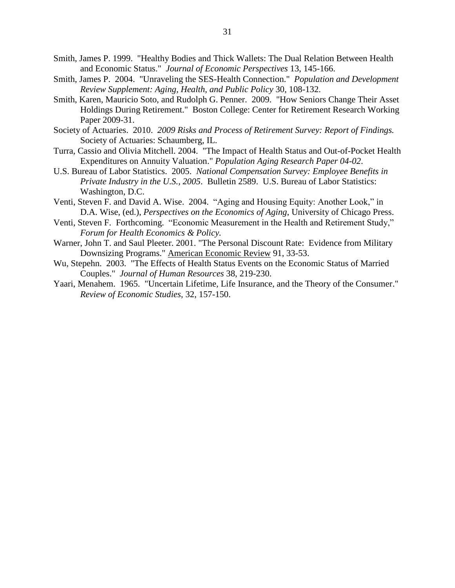- Smith, James P. 1999. "Healthy Bodies and Thick Wallets: The Dual Relation Between Health and Economic Status." *Journal of Economic Perspectives* 13, 145-166.
- Smith, James P. 2004. "Unraveling the SES-Health Connection." *Population and Development Review Supplement: Aging, Health, and Public Policy* 30, 108-132.
- Smith, Karen, Mauricio Soto, and Rudolph G. Penner. 2009. "How Seniors Change Their Asset Holdings During Retirement." Boston College: Center for Retirement Research Working Paper 2009-31.
- Society of Actuaries. 2010. *2009 Risks and Process of Retirement Survey: Report of Findings.* Society of Actuaries: Schaumberg, IL.
- Turra, Cassio and Olivia Mitchell. 2004. "The Impact of Health Status and Out-of-Pocket Health Expenditures on Annuity Valuation." *Population Aging Research Paper 04-02*.
- U.S. Bureau of Labor Statistics. 2005. *National Compensation Survey: Employee Benefits in Private Industry in the U.S., 2005*. Bulletin 2589. U.S. Bureau of Labor Statistics: Washington, D.C.
- Venti, Steven F. and David A. Wise. 2004. "Aging and Housing Equity: Another Look," in D.A. Wise, (ed.), *Perspectives on the Economics of Aging*, University of Chicago Press.
- Venti, Steven F. Forthcoming. "Economic Measurement in the Health and Retirement Study," *Forum for Health Economics & Policy.*
- Warner, John T. and Saul Pleeter. 2001. "The Personal Discount Rate: Evidence from Military Downsizing Programs." American Economic Review 91, 33-53.
- Wu, Stepehn. 2003. "The Effects of Health Status Events on the Economic Status of Married Couples." *Journal of Human Resources* 38, 219-230.
- Yaari, Menahem. 1965. "Uncertain Lifetime, Life Insurance, and the Theory of the Consumer." *Review of Economic Studies*, 32, 157-150.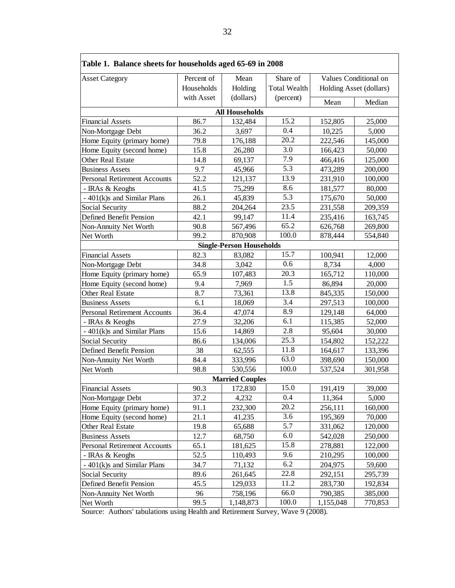| Table 1. Balance sheets for households aged 65-69 in 2008                       |            |                                 |                     |                                                  |         |
|---------------------------------------------------------------------------------|------------|---------------------------------|---------------------|--------------------------------------------------|---------|
| <b>Asset Category</b>                                                           | Percent of | Mean                            | Share of            | Values Conditional on<br>Holding Asset (dollars) |         |
|                                                                                 | Households | Holding                         | <b>Total Wealth</b> |                                                  |         |
|                                                                                 | with Asset | (dollars)                       | (percent)           | Mean                                             | Median  |
|                                                                                 |            | <b>All Households</b>           |                     |                                                  |         |
| <b>Financial Assets</b>                                                         | 86.7       | 132,484                         | 15.2                | 152,805                                          | 25,000  |
| Non-Mortgage Debt                                                               | 36.2       | 3,697                           | 0.4                 | 10,225                                           | 5,000   |
| Home Equity (primary home)                                                      | 79.8       | 176,188                         | 20.2                | 222,546                                          | 145,000 |
| Home Equity (second home)                                                       | 15.8       | 26,280                          | 3.0                 | 166,423                                          | 50,000  |
| Other Real Estate                                                               | 14.8       | 69,137                          | 7.9                 | 466,416                                          | 125,000 |
| <b>Business Assets</b>                                                          | 9.7        | 45,966                          | 5.3                 | 473,289                                          | 200,000 |
| <b>Personal Retirement Accounts</b>                                             | 52.2       | 121,137                         | 13.9                | 231,910                                          | 100,000 |
| - IRAs & Keoghs                                                                 | 41.5       | 75,299                          | 8.6                 | 181,577                                          | 80,000  |
| - 401(k)s and Similar Plans                                                     | 26.1       | 45,839                          | 5.3                 | 175,670                                          | 50,000  |
| Social Security                                                                 | 88.2       | 204,264                         | 23.5                | 231,558                                          | 209,359 |
| Defined Benefit Pension                                                         | 42.1       | 99,147                          | 11.4                | 235,416                                          | 163,745 |
| Non-Annuity Net Worth                                                           | 90.8       | 567,496                         | 65.2                | 626,768                                          | 269,800 |
| Net Worth                                                                       | 99.2       | 870,908                         | 100.0               | 878,444                                          | 554,840 |
|                                                                                 |            | <b>Single-Person Households</b> |                     |                                                  |         |
| <b>Financial Assets</b>                                                         | 82.3       | 83,082                          | 15.7                | 100,941                                          | 12,000  |
| Non-Mortgage Debt                                                               | 34.8       | 3,042                           | 0.6                 | 8,734                                            | 4,000   |
| Home Equity (primary home)                                                      | 65.9       | 107,483                         | 20.3                | 165,712                                          | 110,000 |
| Home Equity (second home)                                                       | 9.4        | 7,969                           | 1.5                 | 86,894                                           | 20,000  |
| Other Real Estate                                                               | 8.7        | 73,361                          | 13.8                | 845,335                                          | 150,000 |
| <b>Business Assets</b>                                                          | 6.1        | 18,069                          | 3.4                 | 297,513                                          | 100,000 |
| <b>Personal Retirement Accounts</b>                                             | 36.4       | 47,074                          | 8.9                 | 129,148                                          | 64,000  |
| - IRAs & Keoghs                                                                 | 27.9       | 32,206                          | 6.1                 | 115,385                                          | 52,000  |
| - 401(k)s and Similar Plans                                                     | 15.6       | 14,869                          | 2.8                 | 95,604                                           | 30,000  |
| Social Security                                                                 | 86.6       | 134,006                         | 25.3                | 154,802                                          | 152,222 |
| Defined Benefit Pension                                                         | 38         | 62,555                          | 11.8                | 164,617                                          | 133,396 |
| Non-Annuity Net Worth                                                           | 84.4       | 333,996                         | 63.0                | 398,690                                          | 150,000 |
| Net Worth                                                                       | 98.8       | 530,556                         | 100.0               | 537,524                                          | 301,958 |
|                                                                                 |            | <b>Married Couples</b>          |                     |                                                  |         |
| <b>Financial Assets</b>                                                         | 90.3       | 172,830                         | 15.0                | 191,419                                          | 39,000  |
| Non-Mortgage Debt                                                               | 37.2       | 4,232                           | 0.4                 | 11,364                                           | 5,000   |
| Home Equity (primary home)                                                      | 91.1       | 232,300                         | 20.2                | 256,111                                          | 160,000 |
| Home Equity (second home)                                                       | 21.1       | 41,235                          | 3.6                 | 195,369                                          | 70,000  |
| Other Real Estate                                                               | 19.8       | 65,688                          | 5.7                 | 331,062                                          | 120,000 |
| <b>Business Assets</b>                                                          | 12.7       | 68,750                          | 6.0                 | 542,028                                          | 250,000 |
| <b>Personal Retirement Accounts</b>                                             | 65.1       | 181,625                         | 15.8                | 278,881                                          | 122,000 |
| - IRAs & Keoghs                                                                 | 52.5       | 110,493                         | 9.6                 | 210,295                                          | 100,000 |
| - 401(k)s and Similar Plans                                                     | 34.7       | 71,132                          | 6.2                 | 204,975                                          | 59,600  |
| Social Security                                                                 | 89.6       | 261,645                         | 22.8                | 292,151                                          | 295,739 |
| Defined Benefit Pension                                                         | 45.5       | 129,033                         | 11.2                | 283,730                                          | 192,834 |
| Non-Annuity Net Worth                                                           | 96         | 758,196                         | 66.0                | 790,385                                          | 385,000 |
| Net Worth                                                                       | 99.5       | 1,148,873                       | 100.0               | 1,155,048                                        | 770,853 |
| Source: Authors' tabulations using Health and Retirement Survey, Wave 9 (2008). |            |                                 |                     |                                                  |         |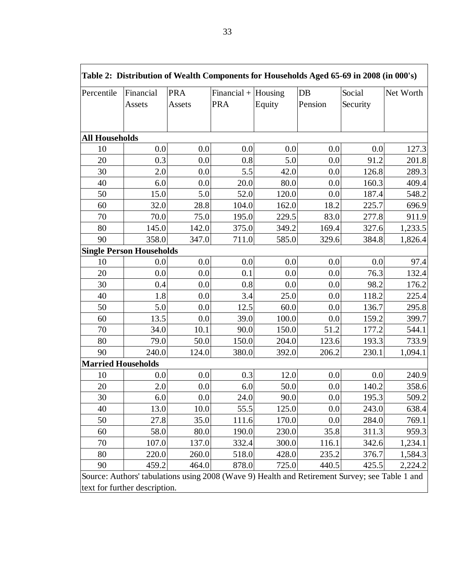| Percentile                | Financial<br>Assets             | <b>PRA</b><br>Assets | Financial + $H \text{ousing}$<br><b>PRA</b> | Equity | $DB$<br>Pension | Social<br>Security | Net Worth |
|---------------------------|---------------------------------|----------------------|---------------------------------------------|--------|-----------------|--------------------|-----------|
|                           |                                 |                      |                                             |        |                 |                    |           |
| <b>All Households</b>     |                                 |                      |                                             |        |                 |                    |           |
| 10                        | 0.0                             | 0.0                  | 0.0                                         | 0.0    | 0.0             | 0.0                | 127.3     |
| 20                        | 0.3                             | 0.0                  | 0.8                                         | 5.0    | 0.0             | 91.2               | 201.8     |
| 30                        | 2.0                             | 0.0                  | 5.5                                         | 42.0   | 0.0             | 126.8              | 289.3     |
| 40                        | 6.0                             | 0.0                  | 20.0                                        | 80.0   | 0.0             | 160.3              | 409.4     |
| 50                        | 15.0                            | 5.0                  | 52.0                                        | 120.0  | 0.0             | 187.4              | 548.2     |
| 60                        | 32.0                            | 28.8                 | 104.0                                       | 162.0  | 18.2            | 225.7              | 696.9     |
| 70                        | 70.0                            | 75.0                 | 195.0                                       | 229.5  | 83.0            | 277.8              | 911.9     |
| 80                        | 145.0                           | 142.0                | 375.0                                       | 349.2  | 169.4           | 327.6              | 1,233.5   |
| 90                        | 358.0                           | 347.0                | 711.0                                       | 585.0  | 329.6           | 384.8              | 1,826.4   |
|                           | <b>Single Person Households</b> |                      |                                             |        |                 |                    |           |
| 10                        | 0.0                             | 0.0                  | 0.0                                         | 0.0    | 0.0             | 0.0                | 97.4      |
| 20                        | 0.0                             | 0.0                  | 0.1                                         | 0.0    | 0.0             | 76.3               | 132.4     |
| 30                        | 0.4                             | 0.0                  | 0.8                                         | 0.0    | 0.0             | 98.2               | 176.2     |
| 40                        | 1.8                             | 0.0                  | 3.4                                         | 25.0   | 0.0             | 118.2              | 225.4     |
| 50                        | 5.0                             | 0.0                  | 12.5                                        | 60.0   | 0.0             | 136.7              | 295.8     |
| 60                        | 13.5                            | 0.0                  | 39.0                                        | 100.0  | 0.0             | 159.2              | 399.7     |
| 70                        | 34.0                            | 10.1                 | 90.0                                        | 150.0  | 51.2            | 177.2              | 544.1     |
| 80                        | 79.0                            | 50.0                 | 150.0                                       | 204.0  | 123.6           | 193.3              | 733.9     |
| 90                        | 240.0                           | 124.0                | 380.0                                       | 392.0  | 206.2           | 230.1              | 1,094.1   |
| <b>Married Households</b> |                                 |                      |                                             |        |                 |                    |           |
| 10                        | 0.0                             | 0.0                  | 0.3                                         | 12.0   | 0.0             | 0.0                | 240.9     |
| 20                        | 2.0                             | 0.0                  | 6.0                                         | 50.0   | 0.0             | 140.2              | 358.6     |
| 30                        | 6.0                             | 0.0                  | 24.0                                        | 90.0   | 0.0             | 195.3              | 509.2     |
| 40                        | 13.0                            | 10.0                 | 55.5                                        | 125.0  | 0.0             | 243.0              | 638.4     |
| 50                        | 27.8                            | 35.0                 | 111.6                                       | 170.0  | 0.0             | 284.0              | 769.1     |
| 60                        | 58.0                            | 80.0                 | 190.0                                       | 230.0  | 35.8            | 311.3              | 959.3     |
| 70                        | 107.0                           | 137.0                | 332.4                                       | 300.0  | 116.1           | 342.6              | 1,234.1   |
| 80                        | 220.0                           | 260.0                | 518.0                                       | 428.0  | 235.2           | 376.7              | 1,584.3   |
| 90                        | 459.2                           | 464.0                | 878.0                                       | 725.0  | 440.5           | 425.5              | 2,224.2   |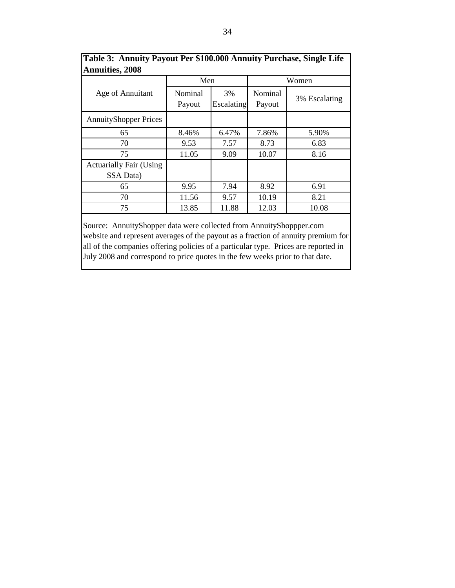|                                             | Men               |                  | Women             |               |  |
|---------------------------------------------|-------------------|------------------|-------------------|---------------|--|
| Age of Annuitant                            | Nominal<br>Payout | 3%<br>Escalating | Nominal<br>Payout | 3% Escalating |  |
| <b>AnnuityShopper Prices</b>                |                   |                  |                   |               |  |
| 65                                          | 8.46%             | 6.47%            | 7.86%             | 5.90%         |  |
| 70                                          | 9.53              | 7.57             | 8.73              | 6.83          |  |
| 75                                          | 11.05             | 9.09             | 10.07             | 8.16          |  |
| <b>Actuarially Fair (Using</b><br>SSA Data) |                   |                  |                   |               |  |
| 65                                          | 9.95              | 7.94             | 8.92              | 6.91          |  |
| 70                                          | 11.56             | 9.57             | 10.19             | 8.21          |  |
| 75                                          | 13.85             | 11.88            | 12.03             | 10.08         |  |

**Table 3: Annuity Payout Per \$100.000 Annuity Purchase, Single Life** 

Source: AnnuityShopper data were collected from AnnuityShoppper.com website and represent averages of the payout as a fraction of annuity premium for all of the companies offering policies of a particular type. Prices are reported in July 2008 and correspond to price quotes in the few weeks prior to that date.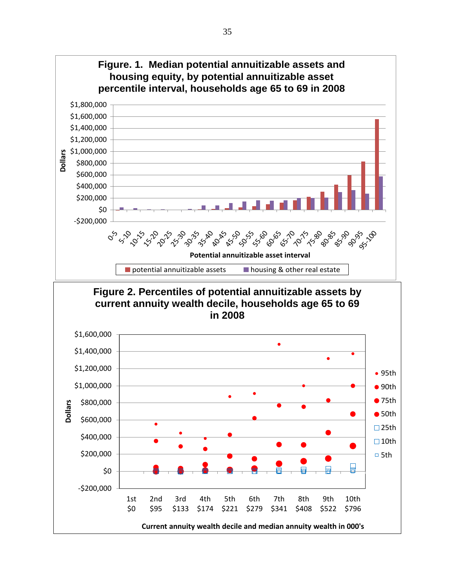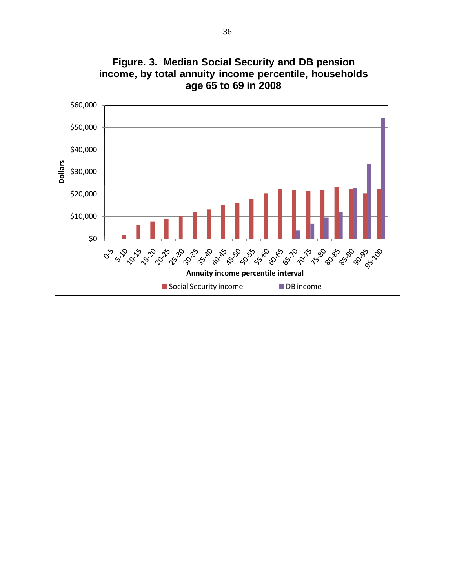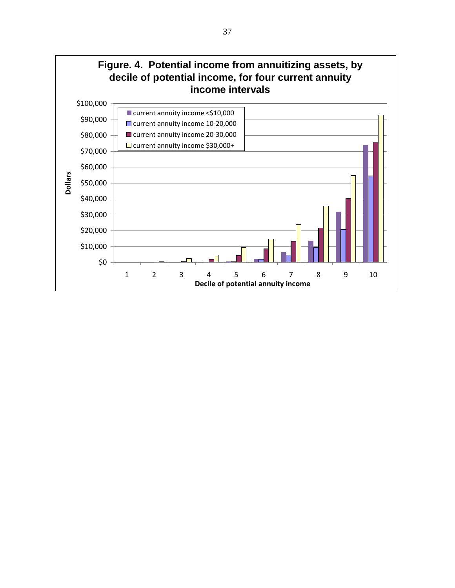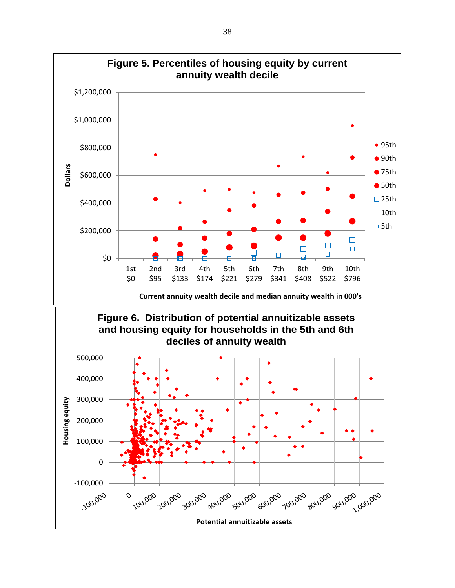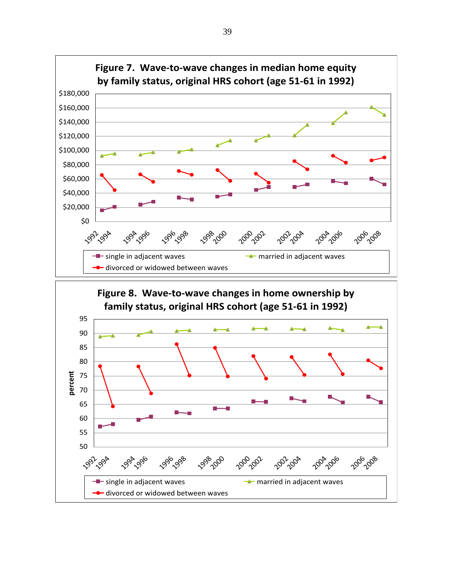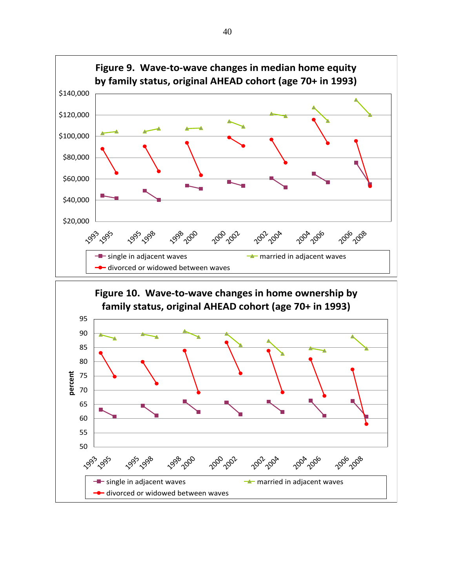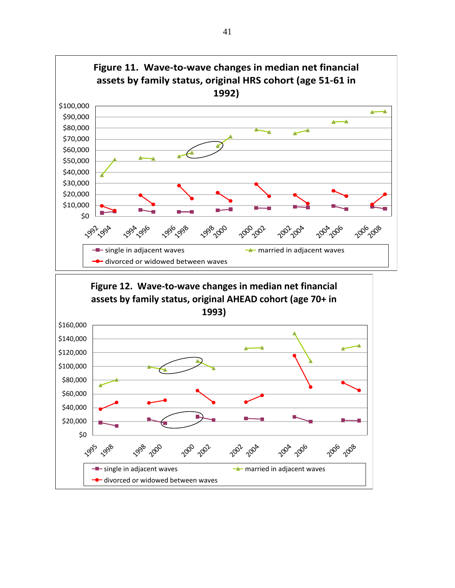